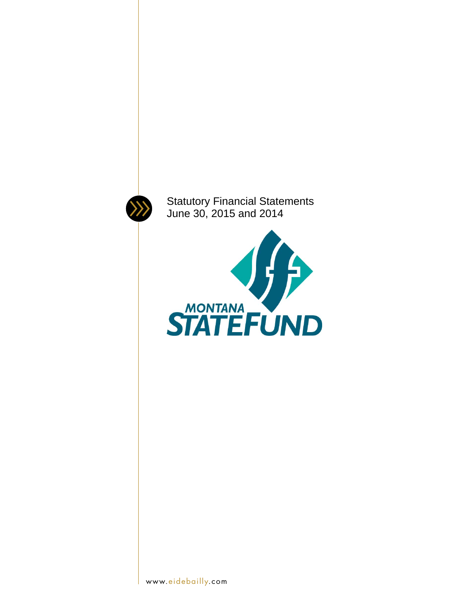

Statutory Financial Statements June 30, 2015 and 2014

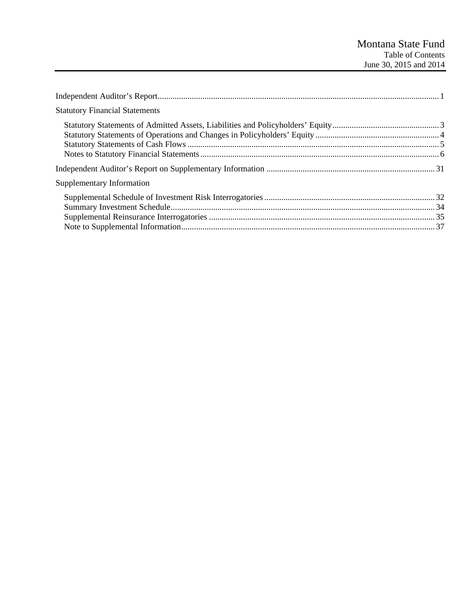| <b>Statutory Financial Statements</b> |  |
|---------------------------------------|--|
|                                       |  |
|                                       |  |
| Supplementary Information             |  |
|                                       |  |
|                                       |  |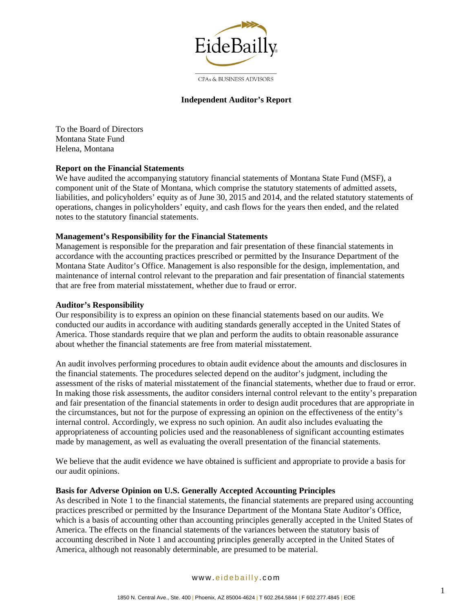

**CPAs & BUSINESS ADVISORS** 

#### **Independent Auditor's Report**

To the Board of Directors Montana State Fund Helena, Montana

#### **Report on the Financial Statements**

We have audited the accompanying statutory financial statements of Montana State Fund (MSF), a component unit of the State of Montana, which comprise the statutory statements of admitted assets, liabilities, and policyholders' equity as of June 30, 2015 and 2014, and the related statutory statements of operations, changes in policyholders' equity, and cash flows for the years then ended, and the related notes to the statutory financial statements.

#### **Management's Responsibility for the Financial Statements**

Management is responsible for the preparation and fair presentation of these financial statements in accordance with the accounting practices prescribed or permitted by the Insurance Department of the Montana State Auditor's Office. Management is also responsible for the design, implementation, and maintenance of internal control relevant to the preparation and fair presentation of financial statements that are free from material misstatement, whether due to fraud or error.

#### **Auditor's Responsibility**

Our responsibility is to express an opinion on these financial statements based on our audits. We conducted our audits in accordance with auditing standards generally accepted in the United States of America. Those standards require that we plan and perform the audits to obtain reasonable assurance about whether the financial statements are free from material misstatement.

An audit involves performing procedures to obtain audit evidence about the amounts and disclosures in the financial statements. The procedures selected depend on the auditor's judgment, including the assessment of the risks of material misstatement of the financial statements, whether due to fraud or error. In making those risk assessments, the auditor considers internal control relevant to the entity's preparation and fair presentation of the financial statements in order to design audit procedures that are appropriate in the circumstances, but not for the purpose of expressing an opinion on the effectiveness of the entity's internal control. Accordingly, we express no such opinion. An audit also includes evaluating the appropriateness of accounting policies used and the reasonableness of significant accounting estimates made by management, as well as evaluating the overall presentation of the financial statements.

We believe that the audit evidence we have obtained is sufficient and appropriate to provide a basis for our audit opinions.

#### **Basis for Adverse Opinion on U.S. Generally Accepted Accounting Principles**

As described in Note 1 to the financial statements, the financial statements are prepared using accounting practices prescribed or permitted by the Insurance Department of the Montana State Auditor's Office, which is a basis of accounting other than accounting principles generally accepted in the United States of America. The effects on the financial statements of the variances between the statutory basis of accounting described in Note 1 and accounting principles generally accepted in the United States of America, although not reasonably determinable, are presumed to be material.

#### www. eidebailly .com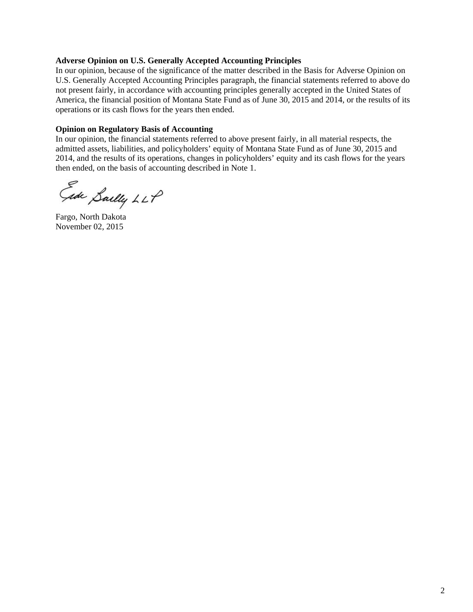#### **Adverse Opinion on U.S. Generally Accepted Accounting Principles**

In our opinion, because of the significance of the matter described in the Basis for Adverse Opinion on U.S. Generally Accepted Accounting Principles paragraph, the financial statements referred to above do not present fairly, in accordance with accounting principles generally accepted in the United States of America, the financial position of Montana State Fund as of June 30, 2015 and 2014, or the results of its operations or its cash flows for the years then ended.

#### **Opinion on Regulatory Basis of Accounting**

In our opinion, the financial statements referred to above present fairly, in all material respects, the admitted assets, liabilities, and policyholders' equity of Montana State Fund as of June 30, 2015 and 2014, and the results of its operations, changes in policyholders' equity and its cash flows for the years then ended, on the basis of accounting described in Note 1.

Ede Sailly LLP

Fargo, North Dakota November 02, 2015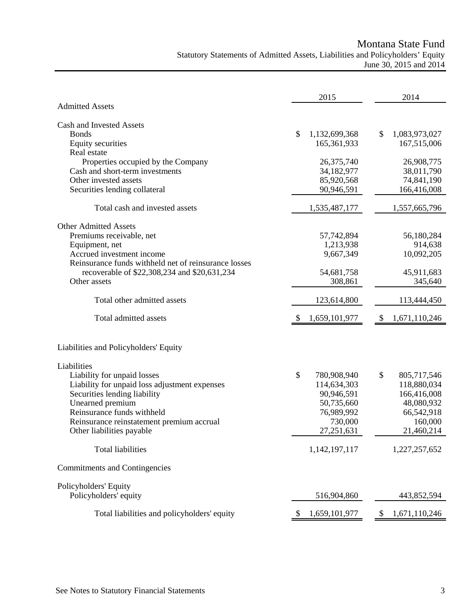Montana State Fund

Statutory Statements of Admitted Assets, Liabilities and Policyholders' Equity June 30, 2015 and 2014

|                                                                                                                                                                                                                                                         | 2015                                                                                                | 2014                                                                                                 |
|---------------------------------------------------------------------------------------------------------------------------------------------------------------------------------------------------------------------------------------------------------|-----------------------------------------------------------------------------------------------------|------------------------------------------------------------------------------------------------------|
| <b>Admitted Assets</b>                                                                                                                                                                                                                                  |                                                                                                     |                                                                                                      |
| Cash and Invested Assets<br><b>Bonds</b><br><b>Equity securities</b>                                                                                                                                                                                    | \$<br>1,132,699,368<br>165, 361, 933                                                                | \$<br>1,083,973,027<br>167,515,006                                                                   |
| Real estate<br>Properties occupied by the Company<br>Cash and short-term investments<br>Other invested assets<br>Securities lending collateral                                                                                                          | 26,375,740<br>34,182,977<br>85,920,568<br>90,946,591                                                | 26,908,775<br>38,011,790<br>74,841,190<br>166,416,008                                                |
| Total cash and invested assets                                                                                                                                                                                                                          | 1,535,487,177                                                                                       | 1,557,665,796                                                                                        |
| <b>Other Admitted Assets</b><br>Premiums receivable, net<br>Equipment, net<br>Accrued investment income<br>Reinsurance funds withheld net of reinsurance losses<br>recoverable of \$22,308,234 and \$20,631,234<br>Other assets                         | 57,742,894<br>1,213,938<br>9,667,349<br>54,681,758<br>308,861                                       | 56,180,284<br>914,638<br>10,092,205<br>45,911,683<br>345,640                                         |
| Total other admitted assets                                                                                                                                                                                                                             | 123,614,800                                                                                         | 113,444,450                                                                                          |
|                                                                                                                                                                                                                                                         |                                                                                                     |                                                                                                      |
| Total admitted assets                                                                                                                                                                                                                                   | 1,659,101,977<br>S                                                                                  | \$<br>1,671,110,246                                                                                  |
| Liabilities and Policyholders' Equity                                                                                                                                                                                                                   |                                                                                                     |                                                                                                      |
| Liabilities<br>Liability for unpaid losses<br>Liability for unpaid loss adjustment expenses<br>Securities lending liability<br>Unearned premium<br>Reinsurance funds withheld<br>Reinsurance reinstatement premium accrual<br>Other liabilities payable | \$<br>780,908,940<br>114,634,303<br>90,946,591<br>50,735,660<br>76,989,992<br>730,000<br>27,251,631 | \$<br>805,717,546<br>118,880,034<br>166,416,008<br>48,080,932<br>66,542,918<br>160,000<br>21,460,214 |
| <b>Total liabilities</b>                                                                                                                                                                                                                                | 1,142,197,117                                                                                       | 1,227,257,652                                                                                        |
| Commitments and Contingencies                                                                                                                                                                                                                           |                                                                                                     |                                                                                                      |
| Policyholders' Equity<br>Policyholders' equity                                                                                                                                                                                                          | 516,904,860                                                                                         | 443,852,594                                                                                          |
| Total liabilities and policyholders' equity                                                                                                                                                                                                             | 1,659,101,977<br>\$                                                                                 | 1,671,110,246<br>\$                                                                                  |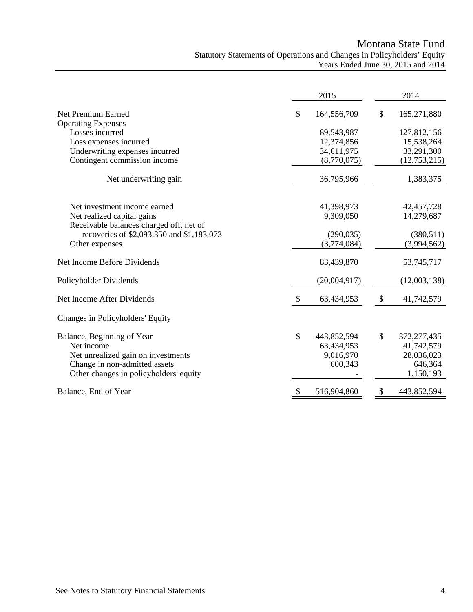## Montana State Fund Statutory Statements of Operations and Changes in Policyholders' Equity Years Ended June 30, 2015 and 2014

|                                                 |                           | 2015         |                            | 2014           |
|-------------------------------------------------|---------------------------|--------------|----------------------------|----------------|
| Net Premium Earned<br><b>Operating Expenses</b> | \$                        | 164,556,709  | \$                         | 165,271,880    |
| Losses incurred                                 |                           | 89,543,987   |                            | 127,812,156    |
| Loss expenses incurred                          |                           | 12,374,856   |                            | 15,538,264     |
| Underwriting expenses incurred                  |                           | 34,611,975   |                            | 33,291,300     |
| Contingent commission income                    |                           | (8,770,075)  |                            | (12, 753, 215) |
| Net underwriting gain                           |                           | 36,795,966   |                            | 1,383,375      |
| Net investment income earned                    |                           | 41,398,973   |                            | 42, 457, 728   |
| Net realized capital gains                      |                           | 9,309,050    |                            | 14,279,687     |
| Receivable balances charged off, net of         |                           |              |                            |                |
| recoveries of \$2,093,350 and \$1,183,073       |                           | (290, 035)   |                            | (380, 511)     |
| Other expenses                                  |                           | (3,774,084)  |                            | (3,994,562)    |
| Net Income Before Dividends                     |                           | 83,439,870   |                            | 53,745,717     |
| Policyholder Dividends                          |                           | (20,004,917) |                            | (12,003,138)   |
| Net Income After Dividends                      | -S                        | 63,434,953   | $\boldsymbol{\mathsf{\$}}$ | 41,742,579     |
| Changes in Policyholders' Equity                |                           |              |                            |                |
| Balance, Beginning of Year                      | \$                        | 443,852,594  | \$                         | 372,277,435    |
| Net income                                      |                           | 63,434,953   |                            | 41,742,579     |
| Net unrealized gain on investments              |                           | 9,016,970    |                            | 28,036,023     |
| Change in non-admitted assets                   |                           | 600,343      |                            | 646,364        |
| Other changes in policyholders' equity          |                           |              |                            | 1,150,193      |
| Balance, End of Year                            | $\boldsymbol{\mathsf{S}}$ | 516,904,860  | \$                         | 443,852,594    |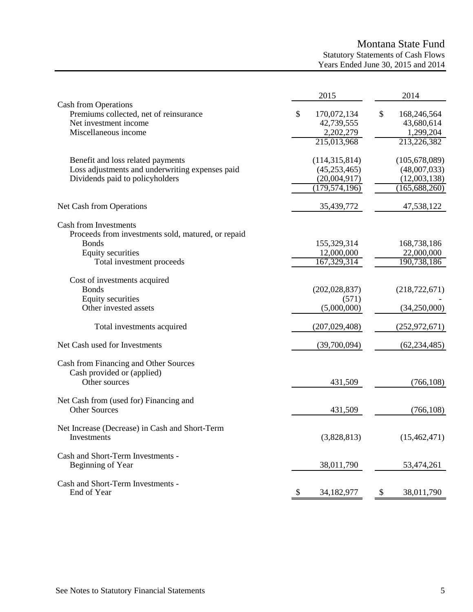# Montana State Fund

Statutory Statements of Cash Flows Years Ended June 30, 2015 and 2014

|                                                                                                                                                             | 2015                                                                 | 2014                                                               |
|-------------------------------------------------------------------------------------------------------------------------------------------------------------|----------------------------------------------------------------------|--------------------------------------------------------------------|
| Cash from Operations<br>Premiums collected, net of reinsurance<br>Net investment income<br>Miscellaneous income                                             | \$<br>170,072,134<br>42,739,555<br>2,202,279<br>215,013,968          | \$<br>168,246,564<br>43,680,614<br>1,299,204<br>213,226,382        |
| Benefit and loss related payments<br>Loss adjustments and underwriting expenses paid<br>Dividends paid to policyholders                                     | (114, 315, 814)<br>(45, 253, 465)<br>(20,004,917)<br>(179, 574, 196) | (105, 678, 089)<br>(48,007,033)<br>(12,003,138)<br>(165, 688, 260) |
| Net Cash from Operations                                                                                                                                    | 35,439,772                                                           | 47,538,122                                                         |
| <b>Cash from Investments</b><br>Proceeds from investments sold, matured, or repaid<br><b>Bonds</b><br><b>Equity securities</b><br>Total investment proceeds | 155,329,314<br>12,000,000<br>167,329,314                             | 168,738,186<br>22,000,000<br>190,738,186                           |
| Cost of investments acquired<br><b>Bonds</b><br>Equity securities<br>Other invested assets                                                                  | (202, 028, 837)<br>(571)<br>(5,000,000)                              | (218, 722, 671)<br>(34,250,000)                                    |
| Total investments acquired                                                                                                                                  | (207, 029, 408)                                                      | (252, 972, 671)                                                    |
| Net Cash used for Investments                                                                                                                               | (39,700,094)                                                         | (62, 234, 485)                                                     |
| Cash from Financing and Other Sources<br>Cash provided or (applied)<br>Other sources                                                                        | 431,509                                                              | (766, 108)                                                         |
| Net Cash from (used for) Financing and<br><b>Other Sources</b>                                                                                              | 431,509                                                              | (766, 108)                                                         |
| Net Increase (Decrease) in Cash and Short-Term<br>Investments                                                                                               | (3,828,813)                                                          | (15, 462, 471)                                                     |
| Cash and Short-Term Investments -<br>Beginning of Year                                                                                                      | 38,011,790                                                           | 53,474,261                                                         |
| Cash and Short-Term Investments -<br>End of Year                                                                                                            | 34,182,977                                                           | 38,011,790<br>-S                                                   |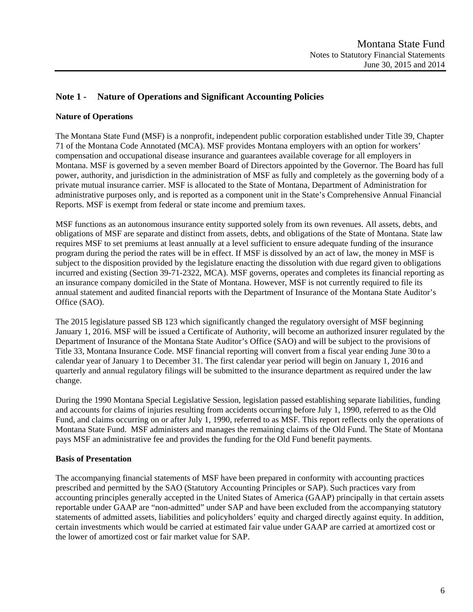## **Note 1 - Nature of Operations and Significant Accounting Policies**

### **Nature of Operations**

The Montana State Fund (MSF) is a nonprofit, independent public corporation established under Title 39, Chapter 71 of the Montana Code Annotated (MCA). MSF provides Montana employers with an option for workers' compensation and occupational disease insurance and guarantees available coverage for all employers in Montana. MSF is governed by a seven member Board of Directors appointed by the Governor. The Board has full power, authority, and jurisdiction in the administration of MSF as fully and completely as the governing body of a private mutual insurance carrier. MSF is allocated to the State of Montana, Department of Administration for administrative purposes only, and is reported as a component unit in the State's Comprehensive Annual Financial Reports. MSF is exempt from federal or state income and premium taxes.

MSF functions as an autonomous insurance entity supported solely from its own revenues. All assets, debts, and obligations of MSF are separate and distinct from assets, debts, and obligations of the State of Montana. State law requires MSF to set premiums at least annually at a level sufficient to ensure adequate funding of the insurance program during the period the rates will be in effect. If MSF is dissolved by an act of law, the money in MSF is subject to the disposition provided by the legislature enacting the dissolution with due regard given to obligations incurred and existing (Section 39-71-2322, MCA). MSF governs, operates and completes its financial reporting as an insurance company domiciled in the State of Montana. However, MSF is not currently required to file its annual statement and audited financial reports with the Department of Insurance of the Montana State Auditor's Office (SAO).

The 2015 legislature passed SB 123 which significantly changed the regulatory oversight of MSF beginning January 1, 2016. MSF will be issued a Certificate of Authority, will become an authorized insurer regulated by the Department of Insurance of the Montana State Auditor's Office (SAO) and will be subject to the provisions of Title 33, Montana Insurance Code. MSF financial reporting will convert from a fiscal year ending June 30 to a calendar year of January 1 to December 31. The first calendar year period will begin on January 1, 2016 and quarterly and annual regulatory filings will be submitted to the insurance department as required under the law change.

During the 1990 Montana Special Legislative Session, legislation passed establishing separate liabilities, funding and accounts for claims of injuries resulting from accidents occurring before July 1, 1990, referred to as the Old Fund, and claims occurring on or after July 1, 1990, referred to as MSF. This report reflects only the operations of Montana State Fund. MSF administers and manages the remaining claims of the Old Fund. The State of Montana pays MSF an administrative fee and provides the funding for the Old Fund benefit payments.

### **Basis of Presentation**

The accompanying financial statements of MSF have been prepared in conformity with accounting practices prescribed and permitted by the SAO (Statutory Accounting Principles or SAP). Such practices vary from accounting principles generally accepted in the United States of America (GAAP) principally in that certain assets reportable under GAAP are "non-admitted" under SAP and have been excluded from the accompanying statutory statements of admitted assets, liabilities and policyholders' equity and charged directly against equity. In addition, certain investments which would be carried at estimated fair value under GAAP are carried at amortized cost or the lower of amortized cost or fair market value for SAP.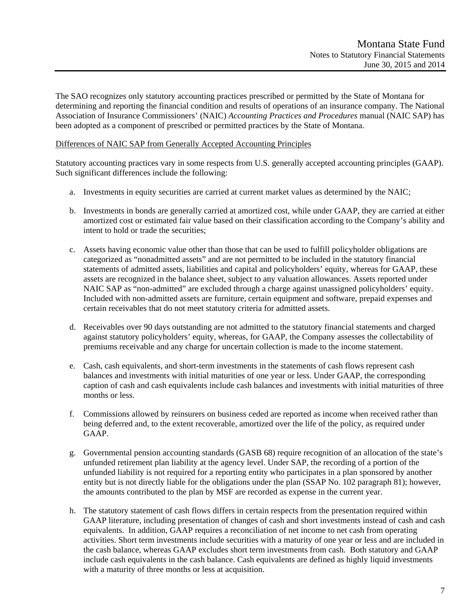The SAO recognizes only statutory accounting practices prescribed or permitted by the State of Montana for determining and reporting the financial condition and results of operations of an insurance company. The National Association of Insurance Commissioners' (NAIC) *Accounting Practices and Procedures* manual (NAIC SAP) has been adopted as a component of prescribed or permitted practices by the State of Montana.

#### Differences of NAIC SAP from Generally Accepted Accounting Principles

Statutory accounting practices vary in some respects from U.S. generally accepted accounting principles (GAAP). Such significant differences include the following:

- a. Investments in equity securities are carried at current market values as determined by the NAIC;
- b. Investments in bonds are generally carried at amortized cost, while under GAAP, they are carried at either amortized cost or estimated fair value based on their classification according to the Company's ability and intent to hold or trade the securities;
- c. Assets having economic value other than those that can be used to fulfill policyholder obligations are categorized as "nonadmitted assets" and are not permitted to be included in the statutory financial statements of admitted assets, liabilities and capital and policyholders' equity, whereas for GAAP, these assets are recognized in the balance sheet, subject to any valuation allowances. Assets reported under NAIC SAP as "non-admitted" are excluded through a charge against unassigned policyholders' equity. Included with non-admitted assets are furniture, certain equipment and software, prepaid expenses and certain receivables that do not meet statutory criteria for admitted assets.
- d. Receivables over 90 days outstanding are not admitted to the statutory financial statements and charged against statutory policyholders' equity, whereas, for GAAP, the Company assesses the collectability of premiums receivable and any charge for uncertain collection is made to the income statement.
- e. Cash, cash equivalents, and short-term investments in the statements of cash flows represent cash balances and investments with initial maturities of one year or less. Under GAAP, the corresponding caption of cash and cash equivalents include cash balances and investments with initial maturities of three months or less.
- f. Commissions allowed by reinsurers on business ceded are reported as income when received rather than being deferred and, to the extent recoverable, amortized over the life of the policy, as required under GAAP.
- g. Governmental pension accounting standards (GASB 68) require recognition of an allocation of the state's unfunded retirement plan liability at the agency level. Under SAP, the recording of a portion of the unfunded liability is not required for a reporting entity who participates in a plan sponsored by another entity but is not directly liable for the obligations under the plan (SSAP No. 102 paragraph 81); however, the amounts contributed to the plan by MSF are recorded as expense in the current year.
- h. The statutory statement of cash flows differs in certain respects from the presentation required within GAAP literature, including presentation of changes of cash and short investments instead of cash and cash equivalents. In addition, GAAP requires a reconciliation of net income to net cash from operating activities. Short term investments include securities with a maturity of one year or less and are included in the cash balance, whereas GAAP excludes short term investments from cash. Both statutory and GAAP include cash equivalents in the cash balance. Cash equivalents are defined as highly liquid investments with a maturity of three months or less at acquisition.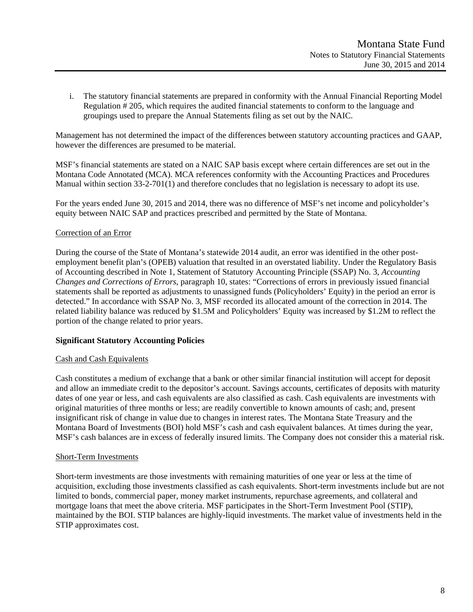i. The statutory financial statements are prepared in conformity with the Annual Financial Reporting Model Regulation # 205, which requires the audited financial statements to conform to the language and groupings used to prepare the Annual Statements filing as set out by the NAIC.

Management has not determined the impact of the differences between statutory accounting practices and GAAP, however the differences are presumed to be material.

MSF's financial statements are stated on a NAIC SAP basis except where certain differences are set out in the Montana Code Annotated (MCA). MCA references conformity with the Accounting Practices and Procedures Manual within section 33-2-701(1) and therefore concludes that no legislation is necessary to adopt its use.

For the years ended June 30, 2015 and 2014, there was no difference of MSF's net income and policyholder's equity between NAIC SAP and practices prescribed and permitted by the State of Montana.

#### Correction of an Error

During the course of the State of Montana's statewide 2014 audit, an error was identified in the other postemployment benefit plan's (OPEB) valuation that resulted in an overstated liability. Under the Regulatory Basis of Accounting described in Note 1, Statement of Statutory Accounting Principle (SSAP) No. 3, *Accounting Changes and Corrections of Errors*, paragraph 10, states: "Corrections of errors in previously issued financial statements shall be reported as adjustments to unassigned funds (Policyholders' Equity) in the period an error is detected." In accordance with SSAP No. 3, MSF recorded its allocated amount of the correction in 2014. The related liability balance was reduced by \$1.5M and Policyholders' Equity was increased by \$1.2M to reflect the portion of the change related to prior years.

### **Significant Statutory Accounting Policies**

#### Cash and Cash Equivalents

Cash constitutes a medium of exchange that a bank or other similar financial institution will accept for deposit and allow an immediate credit to the depositor's account. Savings accounts, certificates of deposits with maturity dates of one year or less, and cash equivalents are also classified as cash. Cash equivalents are investments with original maturities of three months or less; are readily convertible to known amounts of cash; and, present insignificant risk of change in value due to changes in interest rates. The Montana State Treasury and the Montana Board of Investments (BOI) hold MSF's cash and cash equivalent balances. At times during the year, MSF's cash balances are in excess of federally insured limits. The Company does not consider this a material risk.

#### Short-Term Investments

Short-term investments are those investments with remaining maturities of one year or less at the time of acquisition, excluding those investments classified as cash equivalents. Short-term investments include but are not limited to bonds, commercial paper, money market instruments, repurchase agreements, and collateral and mortgage loans that meet the above criteria. MSF participates in the Short-Term Investment Pool (STIP), maintained by the BOI. STIP balances are highly-liquid investments. The market value of investments held in the STIP approximates cost.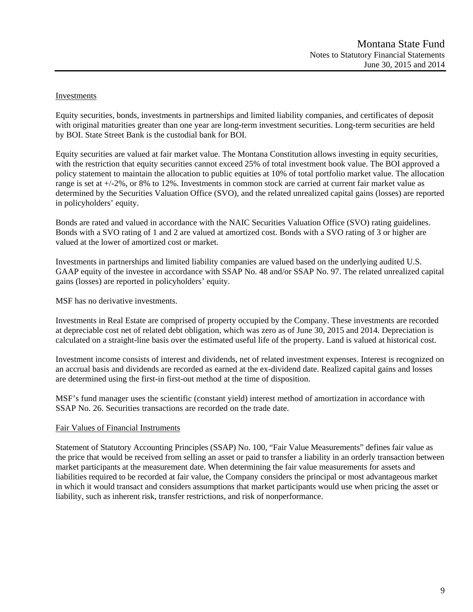#### Investments

Equity securities, bonds, investments in partnerships and limited liability companies, and certificates of deposit with original maturities greater than one year are long-term investment securities. Long-term securities are held by BOI. State Street Bank is the custodial bank for BOI.

Equity securities are valued at fair market value. The Montana Constitution allows investing in equity securities, with the restriction that equity securities cannot exceed 25% of total investment book value. The BOI approved a policy statement to maintain the allocation to public equities at 10% of total portfolio market value. The allocation range is set at +/-2%, or 8% to 12%. Investments in common stock are carried at current fair market value as determined by the Securities Valuation Office (SVO), and the related unrealized capital gains (losses) are reported in policyholders' equity.

Bonds are rated and valued in accordance with the NAIC Securities Valuation Office (SVO) rating guidelines. Bonds with a SVO rating of 1 and 2 are valued at amortized cost. Bonds with a SVO rating of 3 or higher are valued at the lower of amortized cost or market.

Investments in partnerships and limited liability companies are valued based on the underlying audited U.S. GAAP equity of the investee in accordance with SSAP No. 48 and/or SSAP No. 97. The related unrealized capital gains (losses) are reported in policyholders' equity.

MSF has no derivative investments.

Investments in Real Estate are comprised of property occupied by the Company. These investments are recorded at depreciable cost net of related debt obligation, which was zero as of June 30, 2015 and 2014. Depreciation is calculated on a straight-line basis over the estimated useful life of the property. Land is valued at historical cost.

Investment income consists of interest and dividends, net of related investment expenses. Interest is recognized on an accrual basis and dividends are recorded as earned at the ex-dividend date. Realized capital gains and losses are determined using the first-in first-out method at the time of disposition.

MSF's fund manager uses the scientific (constant yield) interest method of amortization in accordance with SSAP No. 26. Securities transactions are recorded on the trade date.

#### Fair Values of Financial Instruments

Statement of Statutory Accounting Principles (SSAP) No. 100, "Fair Value Measurements" defines fair value as the price that would be received from selling an asset or paid to transfer a liability in an orderly transaction between market participants at the measurement date. When determining the fair value measurements for assets and liabilities required to be recorded at fair value, the Company considers the principal or most advantageous market in which it would transact and considers assumptions that market participants would use when pricing the asset or liability, such as inherent risk, transfer restrictions, and risk of nonperformance.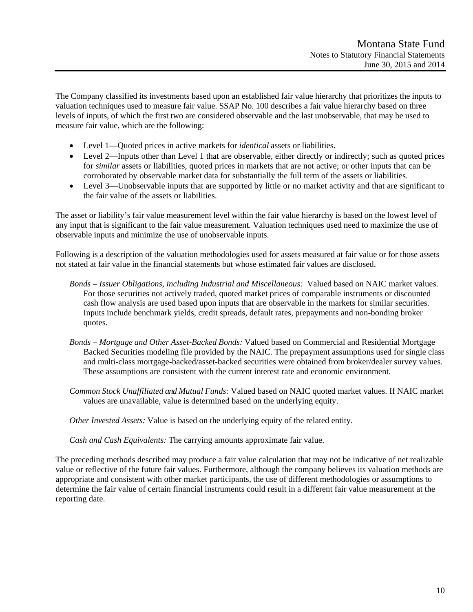The Company classified its investments based upon an established fair value hierarchy that prioritizes the inputs to valuation techniques used to measure fair value. SSAP No. 100 describes a fair value hierarchy based on three levels of inputs, of which the first two are considered observable and the last unobservable, that may be used to measure fair value, which are the following:

- Level 1—Quoted prices in active markets for *identical* assets or liabilities.
- Level 2—Inputs other than Level 1 that are observable, either directly or indirectly; such as quoted prices for *similar* assets or liabilities, quoted prices in markets that are not active; or other inputs that can be corroborated by observable market data for substantially the full term of the assets or liabilities.
- Level 3—Unobservable inputs that are supported by little or no market activity and that are significant to the fair value of the assets or liabilities.

The asset or liability's fair value measurement level within the fair value hierarchy is based on the lowest level of any input that is significant to the fair value measurement. Valuation techniques used need to maximize the use of observable inputs and minimize the use of unobservable inputs.

Following is a description of the valuation methodologies used for assets measured at fair value or for those assets not stated at fair value in the financial statements but whose estimated fair values are disclosed.

- *Bonds Issuer Obligations, including Industrial and Miscellaneous:* Valued based on NAIC market values. For those securities not actively traded, quoted market prices of comparable instruments or discounted cash flow analysis are used based upon inputs that are observable in the markets for similar securities. Inputs include benchmark yields, credit spreads, default rates, prepayments and non-bonding broker quotes.
- *Bonds Mortgage and Other Asset-Backed Bonds:* Valued based on Commercial and Residential Mortgage Backed Securities modeling file provided by the NAIC. The prepayment assumptions used for single class and multi-class mortgage-backed/asset-backed securities were obtained from broker/dealer survey values. These assumptions are consistent with the current interest rate and economic environment.
- *Common Stock Unaffiliated and Mutual Funds:* Valued based on NAIC quoted market values. If NAIC market values are unavailable, value is determined based on the underlying equity.

*Other Invested Assets:* Value is based on the underlying equity of the related entity.

*Cash and Cash Equivalents:* The carrying amounts approximate fair value.

The preceding methods described may produce a fair value calculation that may not be indicative of net realizable value or reflective of the future fair values. Furthermore, although the company believes its valuation methods are appropriate and consistent with other market participants, the use of different methodologies or assumptions to determine the fair value of certain financial instruments could result in a different fair value measurement at the reporting date.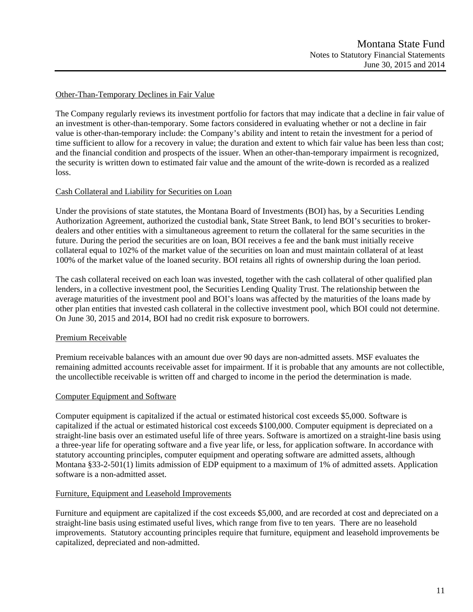#### Other-Than-Temporary Declines in Fair Value

The Company regularly reviews its investment portfolio for factors that may indicate that a decline in fair value of an investment is other-than-temporary. Some factors considered in evaluating whether or not a decline in fair value is other-than-temporary include: the Company's ability and intent to retain the investment for a period of time sufficient to allow for a recovery in value; the duration and extent to which fair value has been less than cost; and the financial condition and prospects of the issuer. When an other-than-temporary impairment is recognized, the security is written down to estimated fair value and the amount of the write-down is recorded as a realized loss.

#### Cash Collateral and Liability for Securities on Loan

Under the provisions of state statutes, the Montana Board of Investments (BOI) has, by a Securities Lending Authorization Agreement, authorized the custodial bank, State Street Bank, to lend BOI's securities to brokerdealers and other entities with a simultaneous agreement to return the collateral for the same securities in the future. During the period the securities are on loan, BOI receives a fee and the bank must initially receive collateral equal to 102% of the market value of the securities on loan and must maintain collateral of at least 100% of the market value of the loaned security. BOI retains all rights of ownership during the loan period.

The cash collateral received on each loan was invested, together with the cash collateral of other qualified plan lenders, in a collective investment pool, the Securities Lending Quality Trust. The relationship between the average maturities of the investment pool and BOI's loans was affected by the maturities of the loans made by other plan entities that invested cash collateral in the collective investment pool, which BOI could not determine. On June 30, 2015 and 2014, BOI had no credit risk exposure to borrowers.

#### Premium Receivable

Premium receivable balances with an amount due over 90 days are non-admitted assets. MSF evaluates the remaining admitted accounts receivable asset for impairment. If it is probable that any amounts are not collectible, the uncollectible receivable is written off and charged to income in the period the determination is made.

#### Computer Equipment and Software

Computer equipment is capitalized if the actual or estimated historical cost exceeds \$5,000. Software is capitalized if the actual or estimated historical cost exceeds \$100,000. Computer equipment is depreciated on a straight-line basis over an estimated useful life of three years. Software is amortized on a straight-line basis using a three-year life for operating software and a five year life, or less, for application software. In accordance with statutory accounting principles, computer equipment and operating software are admitted assets, although Montana §33-2-501(1) limits admission of EDP equipment to a maximum of 1% of admitted assets. Application software is a non-admitted asset.

#### Furniture, Equipment and Leasehold Improvements

Furniture and equipment are capitalized if the cost exceeds \$5,000, and are recorded at cost and depreciated on a straight-line basis using estimated useful lives, which range from five to ten years. There are no leasehold improvements. Statutory accounting principles require that furniture, equipment and leasehold improvements be capitalized, depreciated and non-admitted.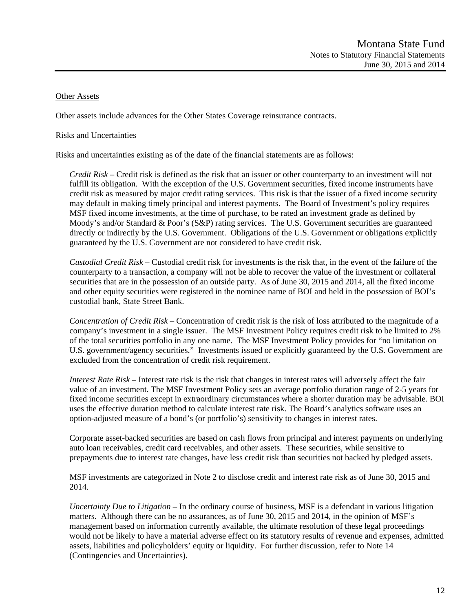#### Other Assets

Other assets include advances for the Other States Coverage reinsurance contracts.

#### Risks and Uncertainties

Risks and uncertainties existing as of the date of the financial statements are as follows:

*Credit Risk* – Credit risk is defined as the risk that an issuer or other counterparty to an investment will not fulfill its obligation. With the exception of the U.S. Government securities, fixed income instruments have credit risk as measured by major credit rating services. This risk is that the issuer of a fixed income security may default in making timely principal and interest payments. The Board of Investment's policy requires MSF fixed income investments, at the time of purchase, to be rated an investment grade as defined by Moody's and/or Standard & Poor's (S&P) rating services. The U.S. Government securities are guaranteed directly or indirectly by the U.S. Government. Obligations of the U.S. Government or obligations explicitly guaranteed by the U.S. Government are not considered to have credit risk.

*Custodial Credit Risk* – Custodial credit risk for investments is the risk that, in the event of the failure of the counterparty to a transaction, a company will not be able to recover the value of the investment or collateral securities that are in the possession of an outside party. As of June 30, 2015 and 2014, all the fixed income and other equity securities were registered in the nominee name of BOI and held in the possession of BOI's custodial bank, State Street Bank.

*Concentration of Credit Risk* – Concentration of credit risk is the risk of loss attributed to the magnitude of a company's investment in a single issuer. The MSF Investment Policy requires credit risk to be limited to 2% of the total securities portfolio in any one name. The MSF Investment Policy provides for "no limitation on U.S. government/agency securities." Investments issued or explicitly guaranteed by the U.S. Government are excluded from the concentration of credit risk requirement.

*Interest Rate Risk* – Interest rate risk is the risk that changes in interest rates will adversely affect the fair value of an investment. The MSF Investment Policy sets an average portfolio duration range of 2-5 years for fixed income securities except in extraordinary circumstances where a shorter duration may be advisable. BOI uses the effective duration method to calculate interest rate risk. The Board's analytics software uses an option-adjusted measure of a bond's (or portfolio's) sensitivity to changes in interest rates.

Corporate asset-backed securities are based on cash flows from principal and interest payments on underlying auto loan receivables, credit card receivables, and other assets. These securities, while sensitive to prepayments due to interest rate changes, have less credit risk than securities not backed by pledged assets.

MSF investments are categorized in Note 2 to disclose credit and interest rate risk as of June 30, 2015 and 2014.

*Uncertainty Due to Litigation* – In the ordinary course of business, MSF is a defendant in various litigation matters. Although there can be no assurances, as of June 30, 2015 and 2014, in the opinion of MSF's management based on information currently available, the ultimate resolution of these legal proceedings would not be likely to have a material adverse effect on its statutory results of revenue and expenses, admitted assets, liabilities and policyholders' equity or liquidity. For further discussion, refer to Note 14 (Contingencies and Uncertainties).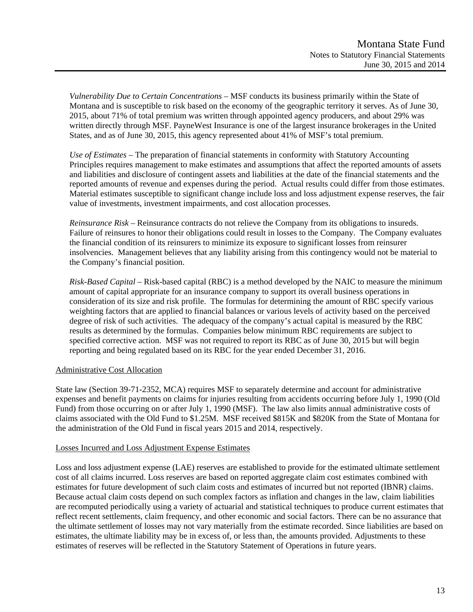*Vulnerability Due to Certain Concentrations* – MSF conducts its business primarily within the State of Montana and is susceptible to risk based on the economy of the geographic territory it serves. As of June 30, 2015, about 71% of total premium was written through appointed agency producers, and about 29% was written directly through MSF. PayneWest Insurance is one of the largest insurance brokerages in the United States, and as of June 30, 2015, this agency represented about 41% of MSF's total premium.

*Use of Estimates –* The preparation of financial statements in conformity with Statutory Accounting Principles requires management to make estimates and assumptions that affect the reported amounts of assets and liabilities and disclosure of contingent assets and liabilities at the date of the financial statements and the reported amounts of revenue and expenses during the period. Actual results could differ from those estimates. Material estimates susceptible to significant change include loss and loss adjustment expense reserves, the fair value of investments, investment impairments, and cost allocation processes.

*Reinsurance Risk –* Reinsurance contracts do not relieve the Company from its obligations to insureds. Failure of reinsures to honor their obligations could result in losses to the Company. The Company evaluates the financial condition of its reinsurers to minimize its exposure to significant losses from reinsurer insolvencies. Management believes that any liability arising from this contingency would not be material to the Company's financial position.

*Risk-Based Capital* – Risk-based capital (RBC) is a method developed by the NAIC to measure the minimum amount of capital appropriate for an insurance company to support its overall business operations in consideration of its size and risk profile. The formulas for determining the amount of RBC specify various weighting factors that are applied to financial balances or various levels of activity based on the perceived degree of risk of such activities. The adequacy of the company's actual capital is measured by the RBC results as determined by the formulas. Companies below minimum RBC requirements are subject to specified corrective action. MSF was not required to report its RBC as of June 30, 2015 but will begin reporting and being regulated based on its RBC for the year ended December 31, 2016.

### Administrative Cost Allocation

State law (Section 39-71-2352, MCA) requires MSF to separately determine and account for administrative expenses and benefit payments on claims for injuries resulting from accidents occurring before July 1, 1990 (Old Fund) from those occurring on or after July 1, 1990 (MSF). The law also limits annual administrative costs of claims associated with the Old Fund to \$1.25M. MSF received \$815K and \$820K from the State of Montana for the administration of the Old Fund in fiscal years 2015 and 2014, respectively.

#### Losses Incurred and Loss Adjustment Expense Estimates

Loss and loss adjustment expense (LAE) reserves are established to provide for the estimated ultimate settlement cost of all claims incurred. Loss reserves are based on reported aggregate claim cost estimates combined with estimates for future development of such claim costs and estimates of incurred but not reported (IBNR) claims. Because actual claim costs depend on such complex factors as inflation and changes in the law, claim liabilities are recomputed periodically using a variety of actuarial and statistical techniques to produce current estimates that reflect recent settlements, claim frequency, and other economic and social factors. There can be no assurance that the ultimate settlement of losses may not vary materially from the estimate recorded. Since liabilities are based on estimates, the ultimate liability may be in excess of, or less than, the amounts provided. Adjustments to these estimates of reserves will be reflected in the Statutory Statement of Operations in future years.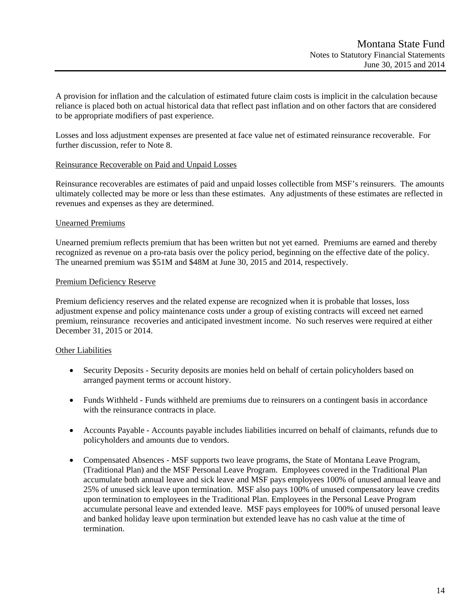A provision for inflation and the calculation of estimated future claim costs is implicit in the calculation because reliance is placed both on actual historical data that reflect past inflation and on other factors that are considered to be appropriate modifiers of past experience.

Losses and loss adjustment expenses are presented at face value net of estimated reinsurance recoverable. For further discussion, refer to Note 8.

#### Reinsurance Recoverable on Paid and Unpaid Losses

Reinsurance recoverables are estimates of paid and unpaid losses collectible from MSF's reinsurers. The amounts ultimately collected may be more or less than these estimates. Any adjustments of these estimates are reflected in revenues and expenses as they are determined.

#### Unearned Premiums

Unearned premium reflects premium that has been written but not yet earned. Premiums are earned and thereby recognized as revenue on a pro-rata basis over the policy period, beginning on the effective date of the policy. The unearned premium was \$51M and \$48M at June 30, 2015 and 2014, respectively.

#### Premium Deficiency Reserve

Premium deficiency reserves and the related expense are recognized when it is probable that losses, loss adjustment expense and policy maintenance costs under a group of existing contracts will exceed net earned premium, reinsurance recoveries and anticipated investment income. No such reserves were required at either December 31, 2015 or 2014.

#### Other Liabilities

- Security Deposits Security deposits are monies held on behalf of certain policyholders based on arranged payment terms or account history.
- Funds Withheld Funds withheld are premiums due to reinsurers on a contingent basis in accordance with the reinsurance contracts in place.
- Accounts Payable Accounts payable includes liabilities incurred on behalf of claimants, refunds due to policyholders and amounts due to vendors.
- Compensated Absences MSF supports two leave programs, the State of Montana Leave Program, (Traditional Plan) and the MSF Personal Leave Program. Employees covered in the Traditional Plan accumulate both annual leave and sick leave and MSF pays employees 100% of unused annual leave and 25% of unused sick leave upon termination. MSF also pays 100% of unused compensatory leave credits upon termination to employees in the Traditional Plan. Employees in the Personal Leave Program accumulate personal leave and extended leave. MSF pays employees for 100% of unused personal leave and banked holiday leave upon termination but extended leave has no cash value at the time of termination.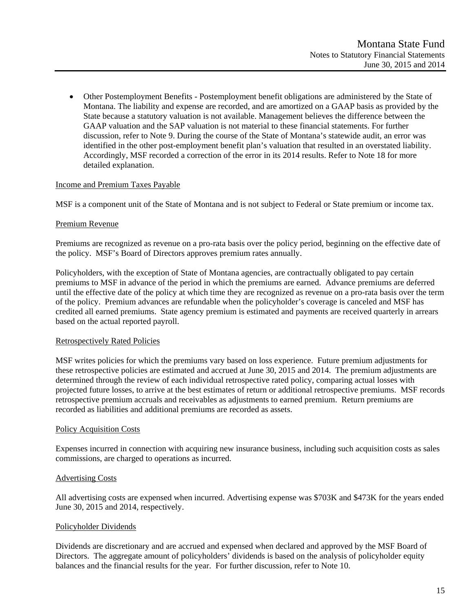Other Postemployment Benefits - Postemployment benefit obligations are administered by the State of Montana. The liability and expense are recorded, and are amortized on a GAAP basis as provided by the State because a statutory valuation is not available. Management believes the difference between the GAAP valuation and the SAP valuation is not material to these financial statements. For further discussion, refer to Note 9. During the course of the State of Montana's statewide audit, an error was identified in the other post-employment benefit plan's valuation that resulted in an overstated liability. Accordingly, MSF recorded a correction of the error in its 2014 results. Refer to Note 18 for more detailed explanation.

#### Income and Premium Taxes Payable

MSF is a component unit of the State of Montana and is not subject to Federal or State premium or income tax.

#### Premium Revenue

Premiums are recognized as revenue on a pro-rata basis over the policy period, beginning on the effective date of the policy. MSF's Board of Directors approves premium rates annually.

Policyholders, with the exception of State of Montana agencies, are contractually obligated to pay certain premiums to MSF in advance of the period in which the premiums are earned. Advance premiums are deferred until the effective date of the policy at which time they are recognized as revenue on a pro-rata basis over the term of the policy. Premium advances are refundable when the policyholder's coverage is canceled and MSF has credited all earned premiums. State agency premium is estimated and payments are received quarterly in arrears based on the actual reported payroll.

#### Retrospectively Rated Policies

MSF writes policies for which the premiums vary based on loss experience. Future premium adjustments for these retrospective policies are estimated and accrued at June 30, 2015 and 2014. The premium adjustments are determined through the review of each individual retrospective rated policy, comparing actual losses with projected future losses, to arrive at the best estimates of return or additional retrospective premiums. MSF records retrospective premium accruals and receivables as adjustments to earned premium. Return premiums are recorded as liabilities and additional premiums are recorded as assets.

#### Policy Acquisition Costs

Expenses incurred in connection with acquiring new insurance business, including such acquisition costs as sales commissions, are charged to operations as incurred.

#### Advertising Costs

All advertising costs are expensed when incurred. Advertising expense was \$703K and \$473K for the years ended June 30, 2015 and 2014, respectively.

#### Policyholder Dividends

Dividends are discretionary and are accrued and expensed when declared and approved by the MSF Board of Directors. The aggregate amount of policyholders' dividends is based on the analysis of policyholder equity balances and the financial results for the year. For further discussion, refer to Note 10.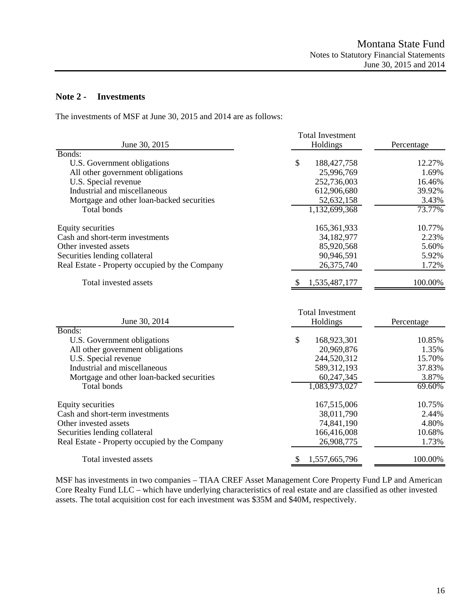## **Note 2 - Investments**

The investments of MSF at June 30, 2015 and 2014 are as follows:

|                                                | <b>Total Investment</b>             |            |
|------------------------------------------------|-------------------------------------|------------|
| June 30, 2015                                  | Holdings                            | Percentage |
| Bonds:                                         |                                     |            |
| U.S. Government obligations                    | \$<br>188, 427, 758                 | 12.27%     |
| All other government obligations               | 25,996,769                          | 1.69%      |
| U.S. Special revenue                           | 252,736,003                         | 16.46%     |
| Industrial and miscellaneous                   | 612,906,680                         | 39.92%     |
| Mortgage and other loan-backed securities      | 52,632,158                          | 3.43%      |
| Total bonds                                    | 1,132,699,368                       | 73.77%     |
| <b>Equity securities</b>                       | 165,361,933                         | 10.77%     |
| Cash and short-term investments                | 34,182,977                          | 2.23%      |
| Other invested assets                          | 85,920,568                          | 5.60%      |
| Securities lending collateral                  | 90,946,591                          | 5.92%      |
| Real Estate - Property occupied by the Company | 26,375,740                          | 1.72%      |
| Total invested assets                          | 1,535,487,177                       | 100.00%    |
| June 30, 2014                                  | <b>Total Investment</b><br>Holdings | Percentage |
| Bonds:                                         |                                     |            |
| U.S. Government obligations                    | \$<br>168,923,301                   | 10.85%     |
| All other government obligations               | 20,969,876                          | 1.35%      |
| U.S. Special revenue                           | 244,520,312                         | 15.70%     |
| Industrial and miscellaneous                   | 589,312,193                         | 37.83%     |
| Mortgage and other loan-backed securities      | 60,247,345                          | 3.87%      |
| Total bonds                                    | 1,083,973,027                       | 69.60%     |
| <b>Equity securities</b>                       | 167,515,006                         | 10.75%     |
| Cash and short-term investments                | 38,011,790                          | 2.44%      |
| Other invested assets                          | 74,841,190                          | 4.80%      |
| Securities lending collateral                  | 166,416,008                         | 10.68%     |
| Real Estate - Property occupied by the Company | 26,908,775                          | 1.73%      |
| Total invested assets                          | \$<br>1,557,665,796                 | 100.00%    |

MSF has investments in two companies – TIAA CREF Asset Management Core Property Fund LP and American Core Realty Fund LLC – which have underlying characteristics of real estate and are classified as other invested assets. The total acquisition cost for each investment was \$35M and \$40M, respectively.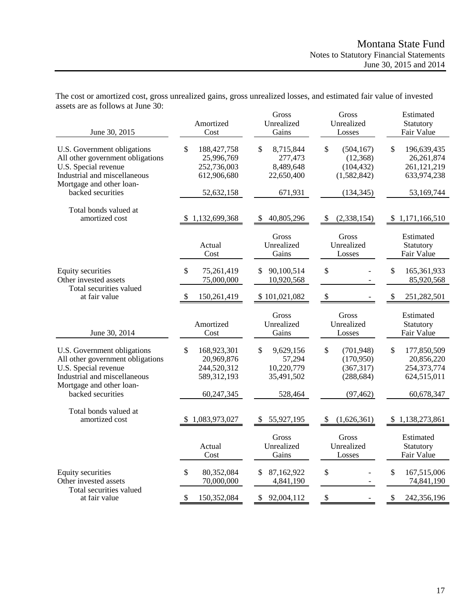| June 30, 2015                                                                                                                                                            | Amortized<br>Cost                                                           | Gross<br>Unrealized<br>Gains                                     | Gross<br>Unrealized<br>Losses                                          | Estimated<br>Statutory<br>Fair Value                                        |
|--------------------------------------------------------------------------------------------------------------------------------------------------------------------------|-----------------------------------------------------------------------------|------------------------------------------------------------------|------------------------------------------------------------------------|-----------------------------------------------------------------------------|
| U.S. Government obligations<br>All other government obligations<br>U.S. Special revenue<br>Industrial and miscellaneous<br>Mortgage and other loan-                      | \$<br>188, 427, 758<br>25,996,769<br>252,736,003<br>612,906,680             | \$<br>8,715,844<br>277,473<br>8,489,648<br>22,650,400            | \$<br>(504, 167)<br>(12, 368)<br>(104, 432)<br>(1,582,842)             | \$<br>196,639,435<br>26,261,874<br>261,121,219<br>633,974,238               |
| backed securities                                                                                                                                                        | 52,632,158                                                                  | 671,931                                                          | (134, 345)                                                             | 53,169,744                                                                  |
| Total bonds valued at<br>amortized cost                                                                                                                                  | 1,132,699,368                                                               | 40,805,296<br>\$                                                 | (2,338,154)<br>\$                                                      | 1,171,166,510<br>\$                                                         |
|                                                                                                                                                                          | Actual<br>Cost                                                              | Gross<br>Unrealized<br>Gains                                     | Gross<br>Unrealized<br>Losses                                          | Estimated<br>Statutory<br>Fair Value                                        |
| <b>Equity securities</b><br>Other invested assets                                                                                                                        | \$<br>75,261,419<br>75,000,000                                              | 90,100,514<br>S.<br>10,920,568                                   | \$                                                                     | \$<br>165,361,933<br>85,920,568                                             |
| Total securities valued<br>at fair value                                                                                                                                 | 150,261,419<br>- \$                                                         | \$101,021,082                                                    | \$                                                                     | \$<br>251,282,501                                                           |
| June 30, 2014                                                                                                                                                            | Amortized<br>Cost                                                           | Gross<br>Unrealized<br>Gains                                     | Gross<br>Unrealized<br>Losses                                          | Estimated<br>Statutory<br>Fair Value                                        |
| U.S. Government obligations<br>All other government obligations<br>U.S. Special revenue<br>Industrial and miscellaneous<br>Mortgage and other loan-<br>backed securities | \$<br>168,923,301<br>20,969,876<br>244,520,312<br>589,312,193<br>60,247,345 | \$<br>9,629,156<br>57,294<br>10,220,779<br>35,491,502<br>528,464 | \$<br>(701, 948)<br>(170,950)<br>(367, 317)<br>(288, 684)<br>(97, 462) | \$<br>177,850,509<br>20,856,220<br>254,373,774<br>624,515,011<br>60,678,347 |
| Total bonds valued at<br>amortized cost                                                                                                                                  | 1,083,973,027                                                               | 55,927,195<br>\$                                                 | (1,626,361)                                                            | 1,138,273,861                                                               |
|                                                                                                                                                                          | Actual<br>Cost                                                              | Gross<br>Unrealized<br>Gains                                     | Gross<br>Unrealized<br>Losses                                          | Estimated<br>Statutory<br>Fair Value                                        |
| <b>Equity securities</b><br>Other invested assets                                                                                                                        | \$<br>80,352,084<br>70,000,000                                              | 87,162,922<br>4,841,190                                          | \$                                                                     | \$<br>167,515,006<br>74,841,190                                             |
| Total securities valued<br>at fair value                                                                                                                                 | \$<br>150,352,084                                                           | \$<br>92,004,112                                                 | \$                                                                     | \$<br>242,356,196                                                           |

The cost or amortized cost, gross unrealized gains, gross unrealized losses, and estimated fair value of invested assets are as follows at June 30: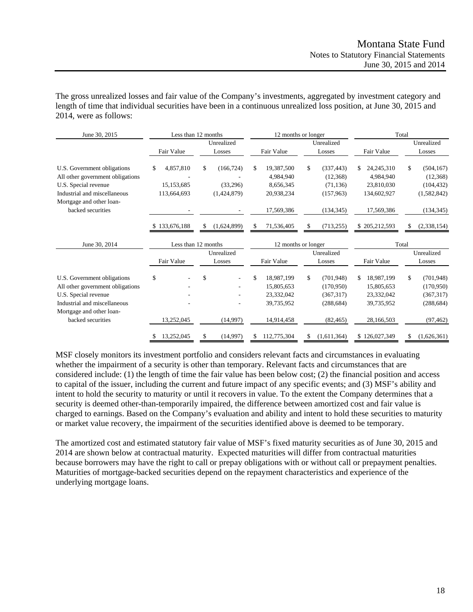The gross unrealized losses and fair value of the Company's investments, aggregated by investment category and length of time that individual securities have been in a continuous unrealized loss position, at June 30, 2015 and 2014, were as follows:

| June 30, 2015                                                                                                                                                            |                                              | Less than 12 months                         |                                                                          | 12 months or longer                                                   |                                                                          | Total                                                                   |
|--------------------------------------------------------------------------------------------------------------------------------------------------------------------------|----------------------------------------------|---------------------------------------------|--------------------------------------------------------------------------|-----------------------------------------------------------------------|--------------------------------------------------------------------------|-------------------------------------------------------------------------|
|                                                                                                                                                                          | Fair Value                                   | Unrealized<br>Losses                        | Fair Value                                                               | Unrealized<br>Losses                                                  | Fair Value                                                               | Unrealized<br>Losses                                                    |
| U.S. Government obligations<br>All other government obligations<br>U.S. Special revenue<br>Industrial and miscellaneous<br>Mortgage and other loan-                      | 4,857,810<br>\$<br>15,153,685<br>113,664,693 | \$<br>(166, 724)<br>(33,296)<br>(1,424,879) | 19,387,500<br>\$<br>4,984,940<br>8,656,345<br>20,938,234                 | \$<br>(337, 443)<br>(12,368)<br>(71, 136)<br>(157,963)                | \$<br>24, 245, 310<br>4,984,940<br>23,810,030<br>134,602,927             | (504, 167)<br>\$<br>(12,368)<br>(104, 432)<br>(1,582,842)               |
| backed securities                                                                                                                                                        |                                              |                                             | 17,569,386                                                               | (134, 345)                                                            | 17,569,386                                                               | (134, 345)                                                              |
|                                                                                                                                                                          | \$133,676,188                                | (1,624,899)<br>\$                           | 71,536,405<br>S                                                          | (713, 255)<br>\$                                                      | 205,212,593<br>S.                                                        | (2,338,154)<br>S                                                        |
| June 30, 2014                                                                                                                                                            |                                              | Less than 12 months                         |                                                                          | 12 months or longer                                                   |                                                                          | Total                                                                   |
|                                                                                                                                                                          | Fair Value                                   | Unrealized<br>Losses                        | Fair Value                                                               | Unrealized<br>Losses                                                  | Fair Value                                                               | Unrealized<br>Losses                                                    |
| U.S. Government obligations<br>All other government obligations<br>U.S. Special revenue<br>Industrial and miscellaneous<br>Mortgage and other loan-<br>backed securities | \$<br>13,252,045                             | \$<br>(14,997)                              | \$<br>18,987,199<br>15,805,653<br>23,332,042<br>39,735,952<br>14,914,458 | \$<br>(701, 948)<br>(170,950)<br>(367,317)<br>(288, 684)<br>(82, 465) | \$<br>18,987,199<br>15,805,653<br>23,332,042<br>39,735,952<br>28,166,503 | \$<br>(701, 948)<br>(170, 950)<br>(367, 317)<br>(288, 684)<br>(97, 462) |
|                                                                                                                                                                          | 13,252,045<br>S                              | \$<br>(14,997)                              | 112,775,304<br>S.                                                        | (1,611,364)<br>\$                                                     | \$126,027,349                                                            | \$<br>(1,626,361)                                                       |

MSF closely monitors its investment portfolio and considers relevant facts and circumstances in evaluating whether the impairment of a security is other than temporary. Relevant facts and circumstances that are considered include: (1) the length of time the fair value has been below cost; (2) the financial position and access to capital of the issuer, including the current and future impact of any specific events; and (3) MSF's ability and intent to hold the security to maturity or until it recovers in value. To the extent the Company determines that a security is deemed other-than-temporarily impaired, the difference between amortized cost and fair value is charged to earnings. Based on the Company's evaluation and ability and intent to hold these securities to maturity or market value recovery, the impairment of the securities identified above is deemed to be temporary.

The amortized cost and estimated statutory fair value of MSF's fixed maturity securities as of June 30, 2015 and 2014 are shown below at contractual maturity. Expected maturities will differ from contractual maturities because borrowers may have the right to call or prepay obligations with or without call or prepayment penalties. Maturities of mortgage-backed securities depend on the repayment characteristics and experience of the underlying mortgage loans.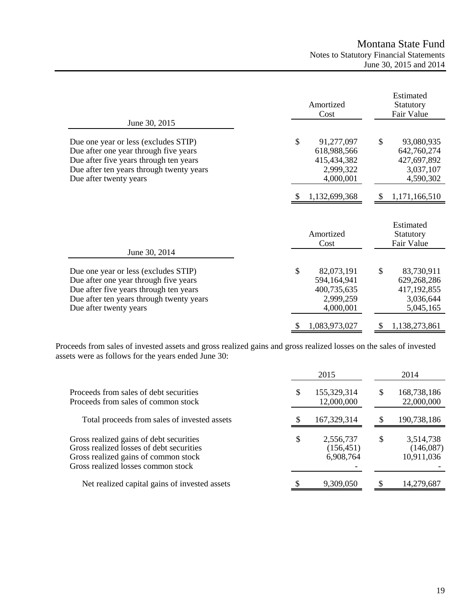|                                                                                                                                                                                               | Amortized<br>Cost                                                        | Estimated<br>Statutory<br>Fair Value                                     |
|-----------------------------------------------------------------------------------------------------------------------------------------------------------------------------------------------|--------------------------------------------------------------------------|--------------------------------------------------------------------------|
| June 30, 2015                                                                                                                                                                                 |                                                                          |                                                                          |
| Due one year or less (excludes STIP)<br>Due after one year through five years<br>Due after five years through ten years<br>Due after ten years through twenty years<br>Due after twenty years | \$<br>91,277,097<br>618,988,566<br>415,434,382<br>2,999,322<br>4,000,001 | \$<br>93,080,935<br>642,760,274<br>427,697,892<br>3,037,107<br>4,590,302 |
|                                                                                                                                                                                               | 1,132,699,368                                                            | 1,171,166,510<br><sup>2</sup>                                            |
|                                                                                                                                                                                               | Amortized<br>Cost                                                        | Estimated<br>Statutory<br>Fair Value                                     |
| June 30, 2014                                                                                                                                                                                 |                                                                          |                                                                          |
| Due one year or less (excludes STIP)<br>Due after one year through five years<br>Due after five years through ten years<br>Due after ten years through twenty years<br>Due after twenty years | \$<br>82,073,191<br>594,164,941<br>400,735,635<br>2,999,259<br>4,000,001 | \$<br>83,730,911<br>629,268,286<br>417,192,855<br>3,036,644<br>5,045,165 |
|                                                                                                                                                                                               | 1,083,973,027<br>\$                                                      | 1,138,273,861<br>\$                                                      |

Proceeds from sales of invested assets and gross realized gains and gross realized losses on the sales of invested assets were as follows for the years ended June 30:

|                                                                                                                                                                   |    | 2015                                 |               | 2014                                 |
|-------------------------------------------------------------------------------------------------------------------------------------------------------------------|----|--------------------------------------|---------------|--------------------------------------|
| Proceeds from sales of debt securities<br>Proceeds from sales of common stock                                                                                     | S  | 155,329,314<br>12,000,000            | <sup>\$</sup> | 168,738,186<br>22,000,000            |
| Total proceeds from sales of invested assets                                                                                                                      |    | 167,329,314                          | S             | 190,738,186                          |
| Gross realized gains of debt securities<br>Gross realized losses of debt securities<br>Gross realized gains of common stock<br>Gross realized losses common stock | \$ | 2,556,737<br>(156, 451)<br>6,908,764 | <sup>\$</sup> | 3,514,738<br>(146,087)<br>10,911,036 |
| Net realized capital gains of invested assets                                                                                                                     |    | 9,309,050                            |               | 14,279,687                           |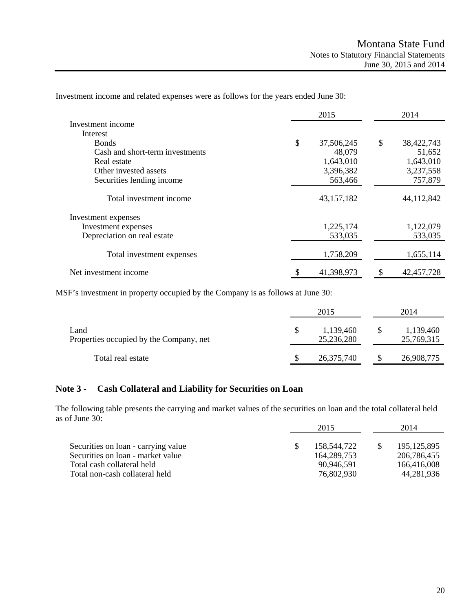|                                 | 2015 |            | 2014               |  |
|---------------------------------|------|------------|--------------------|--|
| Investment income               |      |            |                    |  |
| Interest                        |      |            |                    |  |
| <b>Bonds</b>                    | \$   | 37,506,245 | \$<br>38,422,743   |  |
| Cash and short-term investments |      | 48,079     | 51,652             |  |
| Real estate                     |      | 1,643,010  | 1,643,010          |  |
| Other invested assets           |      | 3,396,382  | 3,237,558          |  |
| Securities lending income       |      | 563,466    | 757,879            |  |
| Total investment income         |      | 43,157,182 | 44,112,842         |  |
| Investment expenses             |      |            |                    |  |
| Investment expenses             |      | 1,225,174  | 1,122,079          |  |
| Depreciation on real estate     |      | 533,035    | 533,035            |  |
| Total investment expenses       |      | 1,758,209  | 1,655,114          |  |
| Net investment income           |      | 41,398,973 | \$<br>42, 457, 728 |  |

Investment income and related expenses were as follows for the years ended June 30:

MSF's investment in property occupied by the Company is as follows at June 30:

|                                                 | 2015 |                         |    | 2014                    |  |  |
|-------------------------------------------------|------|-------------------------|----|-------------------------|--|--|
| Land<br>Properties occupied by the Company, net | S    | 1,139,460<br>25,236,280 | -S | 1,139,460<br>25,769,315 |  |  |
| Total real estate                               |      | 26,375,740              |    | 26,908,775              |  |  |

## **Note 3 - Cash Collateral and Liability for Securities on Loan**

The following table presents the carrying and market values of the securities on loan and the total collateral held as of June 30:

|                                                                          | 2015 |                              | 2014 |                              |
|--------------------------------------------------------------------------|------|------------------------------|------|------------------------------|
| Securities on loan - carrying value<br>Securities on loan - market value |      | 158,544,722<br>164, 289, 753 |      | 195, 125, 895<br>206,786,455 |
| Total cash collateral held                                               |      | 90.946.591                   |      | 166,416,008                  |
| Total non-cash collateral held                                           |      | 76,802,930                   |      | 44,281,936                   |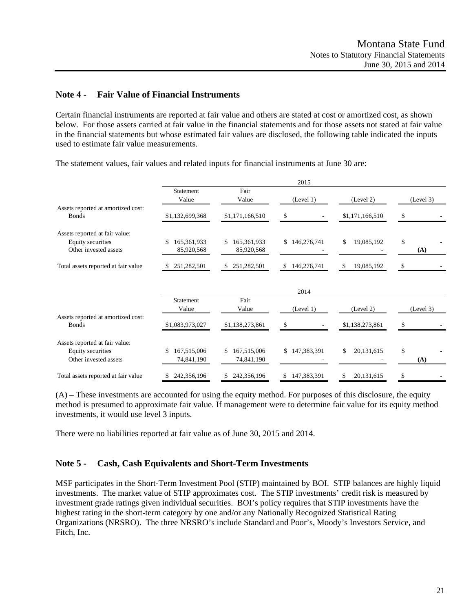## **Note 4 - Fair Value of Financial Instruments**

Certain financial instruments are reported at fair value and others are stated at cost or amortized cost, as shown below. For those assets carried at fair value in the financial statements and for those assets not stated at fair value in the financial statements but whose estimated fair values are disclosed, the following table indicated the inputs used to estimate fair value measurements.

|                                                    |                                 |                                 | 2015                          |                            |                     |
|----------------------------------------------------|---------------------------------|---------------------------------|-------------------------------|----------------------------|---------------------|
|                                                    | Statement<br>Value              | Fair<br>Value                   | (Level 1)                     | (Level 2)                  | (Level 3)           |
| Assets reported at amortized cost:<br><b>Bonds</b> | \$1,132,699,368                 | \$1,171,166,510                 | \$                            | \$1,171,166,510            | S                   |
| Assets reported at fair value:                     |                                 |                                 |                               |                            |                     |
| Equity securities<br>Other invested assets         | 165,361,933<br>\$<br>85,920,568 | 165,361,933<br>\$<br>85,920,568 | 146,276,741<br>$\mathbb{S}^-$ | $\mathbb{S}$<br>19,085,192 | $\mathbb{S}$<br>(A) |
| Total assets reported at fair value                | 251,282,501                     | 251,282,501<br>\$               | 146,276,741                   | 19,085,192<br>\$.          | \$                  |
|                                                    |                                 |                                 | 2014                          |                            |                     |
|                                                    | Statement<br>Value              | Fair<br>Value                   | (Level 1)                     | (Level 2)                  | (Level 3)           |
| Assets reported at amortized cost:<br><b>Bonds</b> | \$1,083,973,027                 | \$1,138,273,861                 | \$                            | \$1,138,273,861            | S                   |
| Assets reported at fair value:                     |                                 |                                 |                               |                            |                     |
| Equity securities<br>Other invested assets         | \$<br>167,515,006<br>74,841,190 | 167,515,006<br>\$<br>74,841,190 | 147,383,391<br>\$             | \$<br>20,131,615           | \$<br>(A)           |
| Total assets reported at fair value                | 242,356,196<br>\$               | \$242,356,196                   | \$147,383,391                 | 20,131,615<br>\$           | \$                  |

The statement values, fair values and related inputs for financial instruments at June 30 are:

(A) – These investments are accounted for using the equity method. For purposes of this disclosure, the equity method is presumed to approximate fair value. If management were to determine fair value for its equity method investments, it would use level 3 inputs.

There were no liabilities reported at fair value as of June 30, 2015 and 2014.

#### **Note 5 - Cash, Cash Equivalents and Short-Term Investments**

MSF participates in the Short-Term Investment Pool (STIP) maintained by BOI. STIP balances are highly liquid investments. The market value of STIP approximates cost. The STIP investments' credit risk is measured by investment grade ratings given individual securities. BOI's policy requires that STIP investments have the highest rating in the short-term category by one and/or any Nationally Recognized Statistical Rating Organizations (NRSRO). The three NRSRO's include Standard and Poor's, Moody's Investors Service, and Fitch, Inc.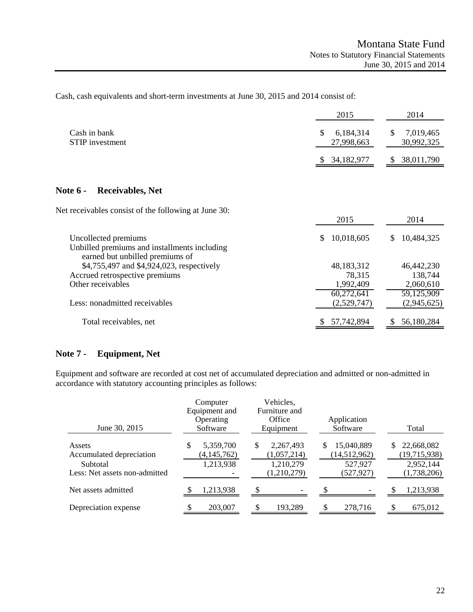Cash, cash equivalents and short-term investments at June 30, 2015 and 2014 consist of:

|                                                                                                         | 2015                         | 2014                          |
|---------------------------------------------------------------------------------------------------------|------------------------------|-------------------------------|
| Cash in bank<br><b>STIP</b> investment                                                                  | S<br>6,184,314<br>27,998,663 | \$<br>7,019,465<br>30,992,325 |
|                                                                                                         | 34,182,977                   | 38,011,790<br>S               |
| <b>Receivables, Net</b><br><b>Note 6 -</b>                                                              |                              |                               |
| Net receivables consist of the following at June 30:                                                    | 2015                         | 2014                          |
| Uncollected premiums<br>Unbilled premiums and installments including<br>earned but unbilled premiums of | 10,018,605<br>S              | 10,484,325<br>S               |
| \$4,755,497 and \$4,924,023, respectively                                                               | 48,183,312                   | 46,442,230                    |
| Accrued retrospective premiums                                                                          | 78,315                       | 138,744                       |
| Other receivables                                                                                       | 1,992,409                    | 2,060,610                     |
|                                                                                                         | $\overline{60,272,641}$      | 59,125,909                    |
| Less: nonadmitted receivables                                                                           | (2,529,747)                  | (2,945,625)                   |
| Total receivables, net                                                                                  | 57,742,894<br>S.             | 56,180,284<br>\$              |

## **Note 7 - Equipment, Net**

Equipment and software are recorded at cost net of accumulated depreciation and admitted or non-admitted in accordance with statutory accounting principles as follows:

| June 30, 2015                                                                   | Computer<br>Equipment and<br>Operating<br>Software | Vehicles,<br>Furniture and<br>Office<br>Equipment         | Application<br>Software                                    | Total                                                        |
|---------------------------------------------------------------------------------|----------------------------------------------------|-----------------------------------------------------------|------------------------------------------------------------|--------------------------------------------------------------|
| Assets<br>Accumulated depreciation<br>Subtotal<br>Less: Net assets non-admitted | 5,359,700<br>\$<br>(4, 145, 762)<br>1,213,938      | 2,267,493<br>S<br>(1,057,214)<br>1,210,279<br>(1,210,279) | 15,040,889<br>S<br>(14, 512, 962)<br>527,927<br>(527, 927) | 22,668,082<br>S.<br>(19,715,938)<br>2,952,144<br>(1,738,206) |
| Net assets admitted                                                             | 1,213,938                                          | -                                                         |                                                            | 1,213,938                                                    |
| Depreciation expense                                                            | 203,007                                            | 193,289                                                   | 278,716                                                    | 675,012                                                      |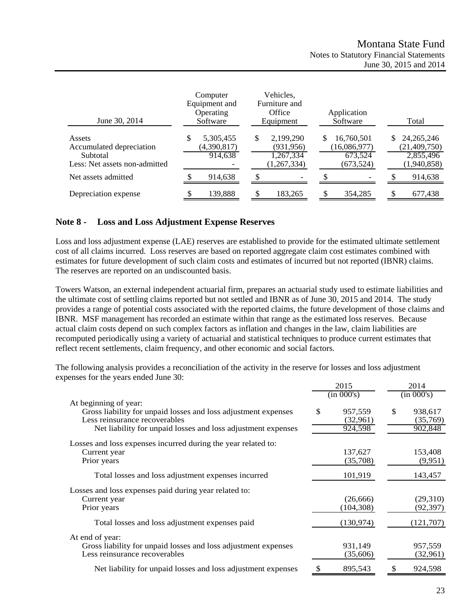| June 30, 2014                                                                   | Computer<br>Equipment and<br>Operating<br>Software |    | Vehicles,<br>Furniture and<br>Office<br>Equipment   |     | Application<br>Software                             |    | Total                                                      |
|---------------------------------------------------------------------------------|----------------------------------------------------|----|-----------------------------------------------------|-----|-----------------------------------------------------|----|------------------------------------------------------------|
| Assets<br>Accumulated depreciation<br>Subtotal<br>Less: Net assets non-admitted | \$<br>5,305,455<br>(4,390,817)<br>914,638          | \$ | 2,199,290<br>(931, 956)<br>1,267,334<br>(1,267,334) | \$. | 16,760,501<br>(16,086,977)<br>673,524<br>(673, 524) | S. | 24, 265, 246<br>(21, 409, 750)<br>2,855,496<br>(1,940,858) |
| Net assets admitted                                                             | 914,638                                            |    |                                                     |     |                                                     |    | 914,638                                                    |
| Depreciation expense                                                            | 139,888                                            | £. | 183,265                                             |     | 354,285                                             | £. | 677,438                                                    |

### **Note 8 - Loss and Loss Adjustment Expense Reserves**

Loss and loss adjustment expense (LAE) reserves are established to provide for the estimated ultimate settlement cost of all claims incurred. Loss reserves are based on reported aggregate claim cost estimates combined with estimates for future development of such claim costs and estimates of incurred but not reported (IBNR) claims. The reserves are reported on an undiscounted basis.

Towers Watson, an external independent actuarial firm, prepares an actuarial study used to estimate liabilities and the ultimate cost of settling claims reported but not settled and IBNR as of June 30, 2015 and 2014. The study provides a range of potential costs associated with the reported claims, the future development of those claims and IBNR. MSF management has recorded an estimate within that range as the estimated loss reserves. Because actual claim costs depend on such complex factors as inflation and changes in the law, claim liabilities are recomputed periodically using a variety of actuarial and statistical techniques to produce current estimates that reflect recent settlements, claim frequency, and other economic and social factors.

The following analysis provides a reconciliation of the activity in the reserve for losses and loss adjustment expenses for the years ended June 30:

|                                                                                                                                                                                          |            | 2015                           | 2014                                 |
|------------------------------------------------------------------------------------------------------------------------------------------------------------------------------------------|------------|--------------------------------|--------------------------------------|
|                                                                                                                                                                                          | (in 000's) |                                | (in 000's)                           |
| At beginning of year:<br>Gross liability for unpaid losses and loss adjustment expenses<br>Less reinsurance recoverables<br>Net liability for unpaid losses and loss adjustment expenses | \$         | 957,559<br>(32,961)<br>924,598 | \$<br>938,617<br>(35,769)<br>902,848 |
| Losses and loss expenses incurred during the year related to:<br>Current year<br>Prior years                                                                                             |            | 137,627<br>(35,708)            | 153,408<br>(9,951)                   |
| Total losses and loss adjustment expenses incurred                                                                                                                                       |            | 101,919                        | 143,457                              |
| Losses and loss expenses paid during year related to:<br>Current year<br>Prior years                                                                                                     |            | (26, 666)<br>(104, 308)        | (29,310)<br>(92, 397)                |
| Total losses and loss adjustment expenses paid                                                                                                                                           |            | (130, 974)                     | (121,707)                            |
| At end of year:<br>Gross liability for unpaid losses and loss adjustment expenses<br>Less reinsurance recoverables                                                                       |            | 931,149<br>(35,606)            | 957,559<br>(32,961)                  |
| Net liability for unpaid losses and loss adjustment expenses                                                                                                                             |            | 895,543                        | 924,598                              |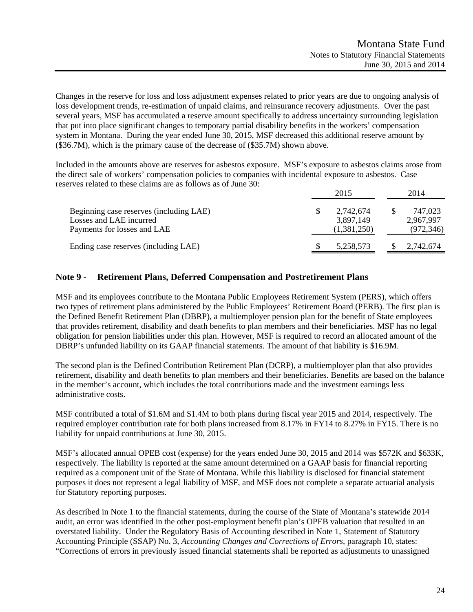Changes in the reserve for loss and loss adjustment expenses related to prior years are due to ongoing analysis of loss development trends, re-estimation of unpaid claims, and reinsurance recovery adjustments. Over the past several years, MSF has accumulated a reserve amount specifically to address uncertainty surrounding legislation that put into place significant changes to temporary partial disability benefits in the workers' compensation system in Montana. During the year ended June 30, 2015, MSF decreased this additional reserve amount by (\$36.7M), which is the primary cause of the decrease of (\$35.7M) shown above.

Included in the amounts above are reserves for asbestos exposure. MSF's exposure to asbestos claims arose from the direct sale of workers' compensation policies to companies with incidental exposure to asbestos. Case reserves related to these claims are as follows as of June 30:

|                                                                                                   | 2015 |                                       | 2014 |                                    |
|---------------------------------------------------------------------------------------------------|------|---------------------------------------|------|------------------------------------|
| Beginning case reserves (including LAE)<br>Losses and LAE incurred<br>Payments for losses and LAE |      | 2,742,674<br>3.897.149<br>(1,381,250) |      | 747,023<br>2,967,997<br>(972, 346) |
| Ending case reserves (including LAE)                                                              |      | 5,258,573                             |      | 2,742,674                          |

### **Note 9 - Retirement Plans, Deferred Compensation and Postretirement Plans**

MSF and its employees contribute to the Montana Public Employees Retirement System (PERS), which offers two types of retirement plans administered by the Public Employees' Retirement Board (PERB). The first plan is the Defined Benefit Retirement Plan (DBRP), a multiemployer pension plan for the benefit of State employees that provides retirement, disability and death benefits to plan members and their beneficiaries. MSF has no legal obligation for pension liabilities under this plan. However, MSF is required to record an allocated amount of the DBRP's unfunded liability on its GAAP financial statements. The amount of that liability is \$16.9M.

The second plan is the Defined Contribution Retirement Plan (DCRP), a multiemployer plan that also provides retirement, disability and death benefits to plan members and their beneficiaries. Benefits are based on the balance in the member's account, which includes the total contributions made and the investment earnings less administrative costs.

MSF contributed a total of \$1.6M and \$1.4M to both plans during fiscal year 2015 and 2014, respectively. The required employer contribution rate for both plans increased from 8.17% in FY14 to 8.27% in FY15. There is no liability for unpaid contributions at June 30, 2015.

MSF's allocated annual OPEB cost (expense) for the years ended June 30, 2015 and 2014 was \$572K and \$633K, respectively. The liability is reported at the same amount determined on a GAAP basis for financial reporting required as a component unit of the State of Montana. While this liability is disclosed for financial statement purposes it does not represent a legal liability of MSF, and MSF does not complete a separate actuarial analysis for Statutory reporting purposes.

As described in Note 1 to the financial statements, during the course of the State of Montana's statewide 2014 audit, an error was identified in the other post-employment benefit plan's OPEB valuation that resulted in an overstated liability. Under the Regulatory Basis of Accounting described in Note 1, Statement of Statutory Accounting Principle (SSAP) No. 3, *Accounting Changes and Corrections of Errors*, paragraph 10, states: "Corrections of errors in previously issued financial statements shall be reported as adjustments to unassigned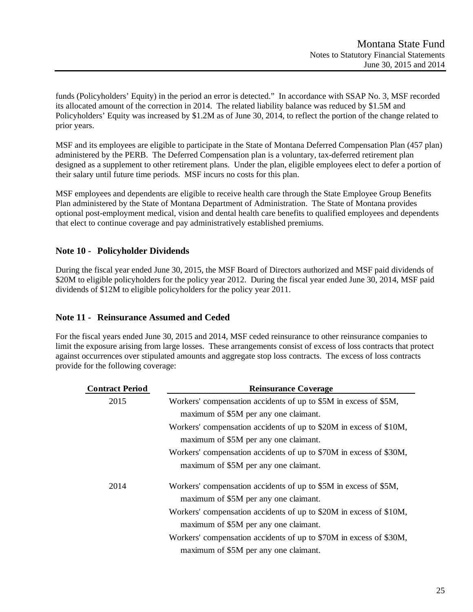funds (Policyholders' Equity) in the period an error is detected." In accordance with SSAP No. 3, MSF recorded its allocated amount of the correction in 2014. The related liability balance was reduced by \$1.5M and Policyholders' Equity was increased by \$1.2M as of June 30, 2014, to reflect the portion of the change related to prior years.

MSF and its employees are eligible to participate in the State of Montana Deferred Compensation Plan (457 plan) administered by the PERB. The Deferred Compensation plan is a voluntary, tax-deferred retirement plan designed as a supplement to other retirement plans. Under the plan, eligible employees elect to defer a portion of their salary until future time periods. MSF incurs no costs for this plan.

MSF employees and dependents are eligible to receive health care through the State Employee Group Benefits Plan administered by the State of Montana Department of Administration. The State of Montana provides optional post-employment medical, vision and dental health care benefits to qualified employees and dependents that elect to continue coverage and pay administratively established premiums.

## **Note 10 - Policyholder Dividends**

During the fiscal year ended June 30, 2015, the MSF Board of Directors authorized and MSF paid dividends of \$20M to eligible policyholders for the policy year 2012. During the fiscal year ended June 30, 2014, MSF paid dividends of \$12M to eligible policyholders for the policy year 2011.

## **Note 11 - Reinsurance Assumed and Ceded**

For the fiscal years ended June 30, 2015 and 2014, MSF ceded reinsurance to other reinsurance companies to limit the exposure arising from large losses. These arrangements consist of excess of loss contracts that protect against occurrences over stipulated amounts and aggregate stop loss contracts. The excess of loss contracts provide for the following coverage:

| <b>Contract Period</b> | <b>Reinsurance Coverage</b>                                        |
|------------------------|--------------------------------------------------------------------|
| 2015                   | Workers' compensation accidents of up to \$5M in excess of \$5M,   |
|                        | maximum of \$5M per any one claimant.                              |
|                        | Workers' compensation accidents of up to \$20M in excess of \$10M, |
|                        | maximum of \$5M per any one claimant.                              |
|                        | Workers' compensation accidents of up to \$70M in excess of \$30M, |
|                        | maximum of \$5M per any one claimant.                              |
| 2014                   | Workers' compensation accidents of up to \$5M in excess of \$5M,   |
|                        | maximum of \$5M per any one claimant.                              |
|                        | Workers' compensation accidents of up to \$20M in excess of \$10M, |
|                        | maximum of \$5M per any one claimant.                              |
|                        | Workers' compensation accidents of up to \$70M in excess of \$30M, |
|                        | maximum of \$5M per any one claimant.                              |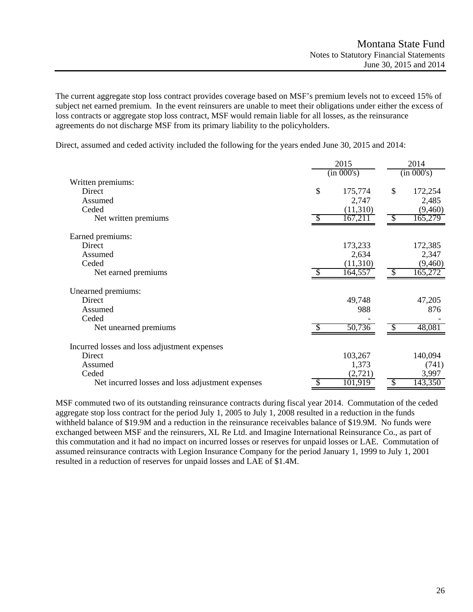The current aggregate stop loss contract provides coverage based on MSF's premium levels not to exceed 15% of subject net earned premium. In the event reinsurers are unable to meet their obligations under either the excess of loss contracts or aggregate stop loss contract, MSF would remain liable for all losses, as the reinsurance agreements do not discharge MSF from its primary liability to the policyholders.

Direct, assumed and ceded activity included the following for the years ended June 30, 2015 and 2014:

|                                                  |               | 2015     | 2014                       |            |  |
|--------------------------------------------------|---------------|----------|----------------------------|------------|--|
|                                                  | (in 000's)    |          |                            | (in 000's) |  |
| Written premiums:                                |               |          |                            |            |  |
| Direct                                           | \$            | 175,774  | \$                         | 172,254    |  |
| Assumed                                          |               | 2,747    |                            | 2,485      |  |
| Ceded                                            |               | (11,310) |                            | (9,460)    |  |
| Net written premiums                             | S             | 167,211  | $\boldsymbol{\mathcal{S}}$ | 165,279    |  |
| Earned premiums:                                 |               |          |                            |            |  |
| Direct                                           |               | 173,233  |                            | 172,385    |  |
| Assumed                                          |               | 2,634    |                            | 2,347      |  |
| Ceded                                            |               | (11,310) |                            | (9,460)    |  |
| Net earned premiums                              |               | 164,557  | $\mathcal{S}$              | 165,272    |  |
| Unearned premiums:                               |               |          |                            |            |  |
| Direct                                           |               | 49,748   |                            | 47,205     |  |
| Assumed                                          |               | 988      |                            | 876        |  |
| Ceded                                            |               |          |                            |            |  |
| Net unearned premiums                            |               | 50,736   |                            | 48,081     |  |
| Incurred losses and loss adjustment expenses     |               |          |                            |            |  |
| Direct                                           |               | 103,267  |                            | 140,094    |  |
| Assumed                                          |               | 1,373    |                            | (741)      |  |
| Ceded                                            |               | (2,721)  |                            | 3,997      |  |
| Net incurred losses and loss adjustment expenses | $\mathcal{S}$ | 101,919  | S                          | 143,350    |  |

MSF commuted two of its outstanding reinsurance contracts during fiscal year 2014. Commutation of the ceded aggregate stop loss contract for the period July 1, 2005 to July 1, 2008 resulted in a reduction in the funds withheld balance of \$19.9M and a reduction in the reinsurance receivables balance of \$19.9M. No funds were exchanged between MSF and the reinsurers, XL Re Ltd. and Imagine International Reinsurance Co., as part of this commutation and it had no impact on incurred losses or reserves for unpaid losses or LAE. Commutation of assumed reinsurance contracts with Legion Insurance Company for the period January 1, 1999 to July 1, 2001 resulted in a reduction of reserves for unpaid losses and LAE of \$1.4M.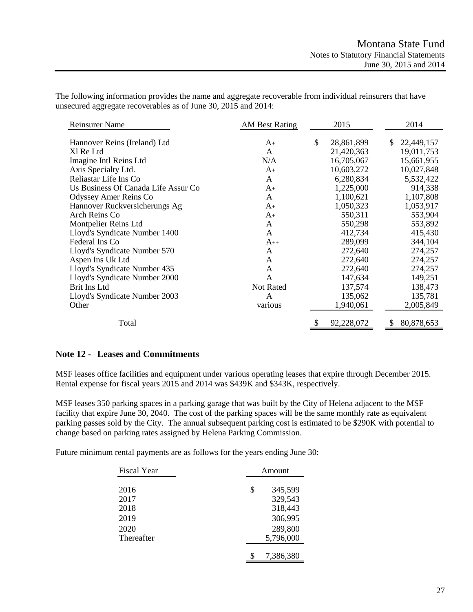| <b>Reinsurer Name</b>               | <b>AM Best Rating</b> | 2015             |   | 2014       |
|-------------------------------------|-----------------------|------------------|---|------------|
| Hannover Reins (Ireland) Ltd        | $A_{+}$               | \$<br>28,861,899 | S | 22,449,157 |
| Xl Re Ltd                           | A                     | 21,420,363       |   | 19,011,753 |
| Imagine Intl Reins Ltd              | N/A                   | 16,705,067       |   | 15,661,955 |
| Axis Specialty Ltd.                 | $A+$                  | 10,603,272       |   | 10,027,848 |
| Reliastar Life Ins Co               | $\mathsf{A}$          | 6,280,834        |   | 5,532,422  |
| Us Business Of Canada Life Assur Co | $A_{+}$               | 1,225,000        |   | 914,338    |
| Odyssey Amer Reins Co               | A                     | 1,100,621        |   | 1,107,808  |
| Hannover Ruckversicherungs Ag       | $A_{+}$               | 1,050,323        |   | 1,053,917  |
| Arch Reins Co                       | $A_{+}$               | 550,311          |   | 553,904    |
| Montpelier Reins Ltd                | A                     | 550,298          |   | 553,892    |
| Lloyd's Syndicate Number 1400       | A                     | 412,734          |   | 415,430    |
| Federal Ins Co                      | $A_{++}$              | 289,099          |   | 344,104    |
| Lloyd's Syndicate Number 570        | A                     | 272,640          |   | 274,257    |
| Aspen Ins Uk Ltd                    | A                     | 272,640          |   | 274,257    |
| Lloyd's Syndicate Number 435        | A                     | 272,640          |   | 274,257    |
| Lloyd's Syndicate Number 2000       | A                     | 147,634          |   | 149,251    |
| Brit Ins Ltd                        | Not Rated             | 137,574          |   | 138,473    |
| Lloyd's Syndicate Number 2003       | A                     | 135,062          |   | 135,781    |
| Other                               | various               | 1,940,061        |   | 2,005,849  |
| Total                               |                       | \$<br>92,228,072 | S | 80,878,653 |

The following information provides the name and aggregate recoverable from individual reinsurers that have unsecured aggregate recoverables as of June 30, 2015 and 2014:

#### **Note 12 - Leases and Commitments**

MSF leases office facilities and equipment under various operating leases that expire through December 2015. Rental expense for fiscal years 2015 and 2014 was \$439K and \$343K, respectively.

MSF leases 350 parking spaces in a parking garage that was built by the City of Helena adjacent to the MSF facility that expire June 30, 2040. The cost of the parking spaces will be the same monthly rate as equivalent parking passes sold by the City. The annual subsequent parking cost is estimated to be \$290K with potential to change based on parking rates assigned by Helena Parking Commission.

Future minimum rental payments are as follows for the years ending June 30:

| <b>Fiscal Year</b> | Amount        |  |
|--------------------|---------------|--|
|                    |               |  |
| 2016               | \$<br>345,599 |  |
| 2017               | 329,543       |  |
| 2018               | 318,443       |  |
| 2019               | 306,995       |  |
| 2020               | 289,800       |  |
| Thereafter         | 5,796,000     |  |
|                    |               |  |
|                    | 7,386,380     |  |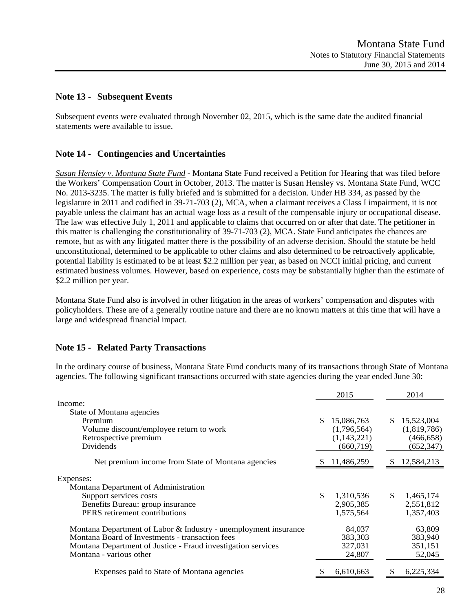## **Note 13 - Subsequent Events**

Subsequent events were evaluated through November 02, 2015, which is the same date the audited financial statements were available to issue.

## **Note 14 - Contingencies and Uncertainties**

*Susan Hensley v. Montana State Fund* - Montana State Fund received a Petition for Hearing that was filed before the Workers' Compensation Court in October, 2013. The matter is Susan Hensley vs. Montana State Fund, WCC No. 2013-3235. The matter is fully briefed and is submitted for a decision. Under HB 334, as passed by the legislature in 2011 and codified in 39-71-703 (2), MCA, when a claimant receives a Class I impairment, it is not payable unless the claimant has an actual wage loss as a result of the compensable injury or occupational disease. The law was effective July 1, 2011 and applicable to claims that occurred on or after that date. The petitioner in this matter is challenging the constitutionality of 39-71-703 (2), MCA. State Fund anticipates the chances are remote, but as with any litigated matter there is the possibility of an adverse decision. Should the statute be held unconstitutional, determined to be applicable to other claims and also determined to be retroactively applicable, potential liability is estimated to be at least \$2.2 million per year, as based on NCCI initial pricing, and current estimated business volumes. However, based on experience, costs may be substantially higher than the estimate of \$2.2 million per year.

Montana State Fund also is involved in other litigation in the areas of workers' compensation and disputes with policyholders. These are of a generally routine nature and there are no known matters at this time that will have a large and widespread financial impact.

### **Note 15 - Related Party Transactions**

In the ordinary course of business, Montana State Fund conducts many of its transactions through State of Montana agencies. The following significant transactions occurred with state agencies during the year ended June 30:

|                                                                 | 2015             | 2014             |
|-----------------------------------------------------------------|------------------|------------------|
| Income:                                                         |                  |                  |
| State of Montana agencies                                       |                  |                  |
| Premium                                                         | 15,086,763       | 15,523,004<br>\$ |
| Volume discount/employee return to work                         | (1,796,564)      | (1,819,786)      |
| Retrospective premium                                           | (1,143,221)      | (466, 658)       |
| <b>Dividends</b>                                                | (660, 719)       | (652, 347)       |
| Net premium income from State of Montana agencies               | 11,486,259       | 12,584,213<br>ж  |
| Expenses:                                                       |                  |                  |
| Montana Department of Administration                            |                  |                  |
| Support services costs                                          | \$.<br>1,310,536 | \$<br>1,465,174  |
| Benefits Bureau: group insurance                                | 2,905,385        | 2,551,812        |
| PERS retirement contributions                                   | 1,575,564        | 1,357,403        |
| Montana Department of Labor & Industry - unemployment insurance | 84,037           | 63,809           |
| Montana Board of Investments - transaction fees                 | 383,303          | 383,940          |
| Montana Department of Justice - Fraud investigation services    | 327,031          | 351,151          |
| Montana - various other                                         | 24,807           | 52,045           |
| Expenses paid to State of Montana agencies                      | 6,610,663        | 6,225,334        |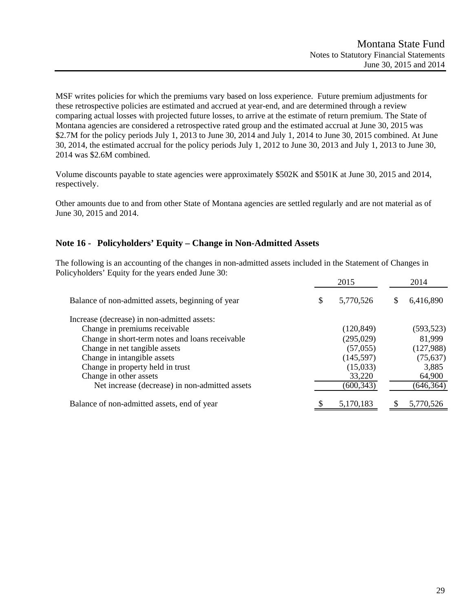MSF writes policies for which the premiums vary based on loss experience. Future premium adjustments for these retrospective policies are estimated and accrued at year-end, and are determined through a review comparing actual losses with projected future losses, to arrive at the estimate of return premium. The State of Montana agencies are considered a retrospective rated group and the estimated accrual at June 30, 2015 was \$2.7M for the policy periods July 1, 2013 to June 30, 2014 and July 1, 2014 to June 30, 2015 combined. At June 30, 2014, the estimated accrual for the policy periods July 1, 2012 to June 30, 2013 and July 1, 2013 to June 30, 2014 was \$2.6M combined.

Volume discounts payable to state agencies were approximately \$502K and \$501K at June 30, 2015 and 2014, respectively.

Other amounts due to and from other State of Montana agencies are settled regularly and are not material as of June 30, 2015 and 2014.

## **Note 16 - Policyholders' Equity – Change in Non-Admitted Assets**

The following is an accounting of the changes in non-admitted assets included in the Statement of Changes in Policyholders' Equity for the years ended June 30:

|                                                   | 2015            |   | 2014       |
|---------------------------------------------------|-----------------|---|------------|
| Balance of non-admitted assets, beginning of year | \$<br>5,770,526 | S | 6,416,890  |
| Increase (decrease) in non-admitted assets:       |                 |   |            |
| Change in premiums receivable                     | (120, 849)      |   | (593, 523) |
| Change in short-term notes and loans receivable   | (295, 029)      |   | 81,999     |
| Change in net tangible assets                     | (57,055)        |   | (127,988)  |
| Change in intangible assets                       | (145, 597)      |   | (75, 637)  |
| Change in property held in trust                  | (15,033)        |   | 3,885      |
| Change in other assets                            | 33,220          |   | 64,900     |
| Net increase (decrease) in non-admitted assets    | (600, 343)      |   | (646, 364) |
| Balance of non-admitted assets, end of year       | 5,170,183       |   | 5,770,526  |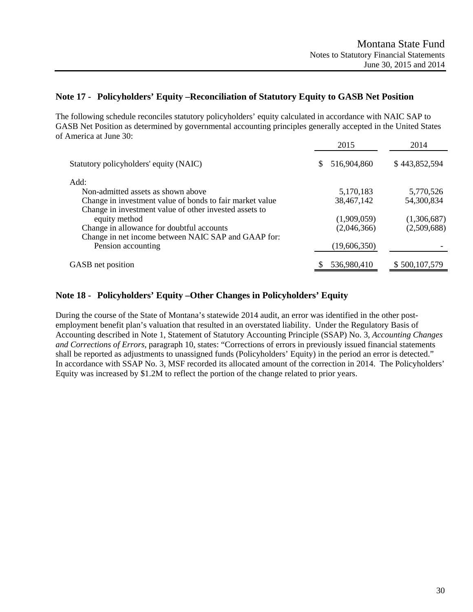### **Note 17 - Policyholders' Equity –Reconciliation of Statutory Equity to GASB Net Position**

The following schedule reconciles statutory policyholders' equity calculated in accordance with NAIC SAP to GASB Net Position as determined by governmental accounting principles generally accepted in the United States of America at June 30:

|                                                          | 2015              | 2014          |
|----------------------------------------------------------|-------------------|---------------|
| Statutory policyholders' equity (NAIC)                   | 516,904,860<br>\$ | \$443,852,594 |
| Add:                                                     |                   |               |
| Non-admitted assets as shown above                       | 5,170,183         | 5,770,526     |
| Change in investment value of bonds to fair market value | 38,467,142        | 54,300,834    |
| Change in investment value of other invested assets to   |                   |               |
| equity method                                            | (1,909,059)       | (1,306,687)   |
| Change in allowance for doubtful accounts                | (2,046,366)       | (2,509,688)   |
| Change in net income between NAIC SAP and GAAP for:      |                   |               |
| Pension accounting                                       | (19,606,350)      |               |
| GASB net position                                        | 536,980,410       | \$500,107,579 |

## **Note 18 - Policyholders' Equity –Other Changes in Policyholders' Equity**

During the course of the State of Montana's statewide 2014 audit, an error was identified in the other postemployment benefit plan's valuation that resulted in an overstated liability. Under the Regulatory Basis of Accounting described in Note 1, Statement of Statutory Accounting Principle (SSAP) No. 3, *Accounting Changes and Corrections of Errors*, paragraph 10, states: "Corrections of errors in previously issued financial statements shall be reported as adjustments to unassigned funds (Policyholders' Equity) in the period an error is detected." In accordance with SSAP No. 3, MSF recorded its allocated amount of the correction in 2014. The Policyholders' Equity was increased by \$1.2M to reflect the portion of the change related to prior years.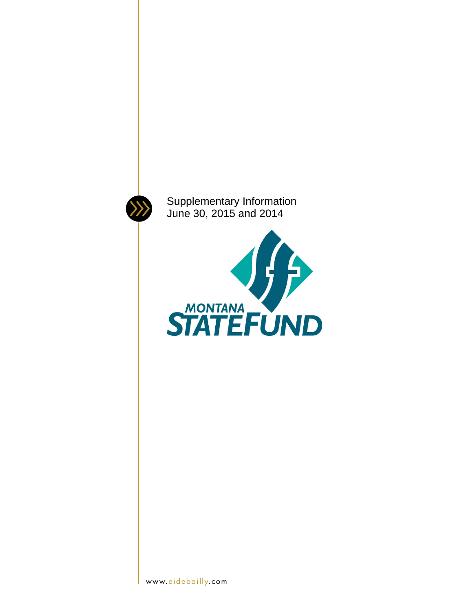

Supplementary Information June 30, 2015 and 2014

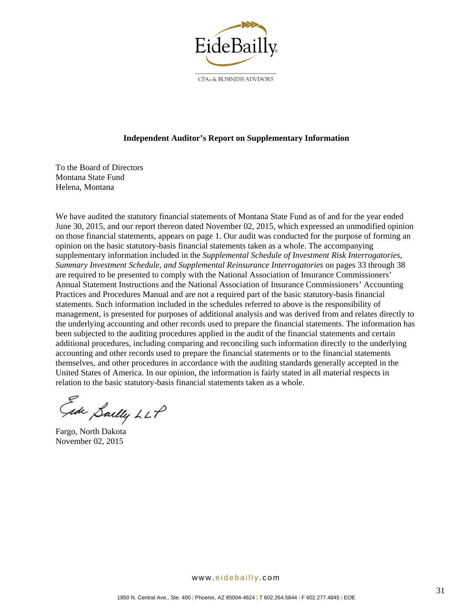

CPAs & BUSINESS ADVISORS

#### **Independent Auditor's Report on Supplementary Information**

To the Board of Directors Montana State Fund Helena, Montana

We have audited the statutory financial statements of Montana State Fund as of and for the year ended June 30, 2015, and our report thereon dated November 02, 2015, which expressed an unmodified opinion on those financial statements, appears on page 1. Our audit was conducted for the purpose of forming an opinion on the basic statutory-basis financial statements taken as a whole. The accompanying supplementary information included in the *Supplemental Schedule of Investment Risk Interrogatories*, *Summary Investment Schedule, and Supplemental Reinsurance Interrogatories* on pages 33 through 38 are required to be presented to comply with the National Association of Insurance Commissioners' Annual Statement Instructions and the National Association of Insurance Commissioners' Accounting Practices and Procedures Manual and are not a required part of the basic statutory-basis financial statements. Such information included in the schedules referred to above is the responsibility of management, is presented for purposes of additional analysis and was derived from and relates directly to the underlying accounting and other records used to prepare the financial statements. The information has been subjected to the auditing procedures applied in the audit of the financial statements and certain additional procedures, including comparing and reconciling such information directly to the underlying accounting and other records used to prepare the financial statements or to the financial statements themselves, and other procedures in accordance with the auditing standards generally accepted in the United States of America. In our opinion, the information is fairly stated in all material respects in relation to the basic statutory-basis financial statements taken as a whole.

Gide Sailly LLP

Fargo, North Dakota November 02, 2015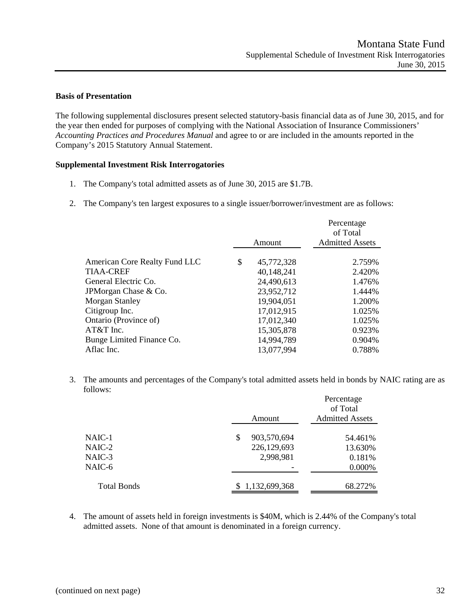#### **Basis of Presentation**

The following supplemental disclosures present selected statutory-basis financial data as of June 30, 2015, and for the year then ended for purposes of complying with the National Association of Insurance Commissioners' *Accounting Practices and Procedures Manual* and agree to or are included in the amounts reported in the Company's 2015 Statutory Annual Statement.

#### **Supplemental Investment Risk Interrogatories**

- 1. The Company's total admitted assets as of June 30, 2015 are \$1.7B.
- 2. The Company's ten largest exposures to a single issuer/borrower/investment are as follows:

|                  | Percentage<br>of Total |  |  |
|------------------|------------------------|--|--|
| Amount           | <b>Admitted Assets</b> |  |  |
| \$<br>45,772,328 | 2.759%                 |  |  |
| 40,148,241       | 2.420%                 |  |  |
| 24,490,613       | 1.476%                 |  |  |
| 23,952,712       | 1.444%                 |  |  |
| 19,904,051       | 1.200%                 |  |  |
| 17,012,915       | 1.025%                 |  |  |
| 17,012,340       | 1.025%                 |  |  |
| 15,305,878       | 0.923%                 |  |  |
| 14,994,789       | 0.904%                 |  |  |
| 13,077,994       | 0.788%                 |  |  |
|                  |                        |  |  |

3. The amounts and percentages of the Company's total admitted assets held in bonds by NAIC rating are as follows:

|                    | Amount           | Percentage<br>of Total<br><b>Admitted Assets</b> |  |  |
|--------------------|------------------|--------------------------------------------------|--|--|
|                    |                  |                                                  |  |  |
| NAIC-1             | 903,570,694<br>S | 54.461%                                          |  |  |
| NAIC-2             | 226,129,693      | 13.630%                                          |  |  |
| NAIC-3             | 2,998,981        | 0.181%                                           |  |  |
| NAIC-6             |                  | 0.000%                                           |  |  |
| <b>Total Bonds</b> | \$1,132,699,368  | 68.272%                                          |  |  |
|                    |                  |                                                  |  |  |

4. The amount of assets held in foreign investments is \$40M, which is 2.44% of the Company's total admitted assets. None of that amount is denominated in a foreign currency.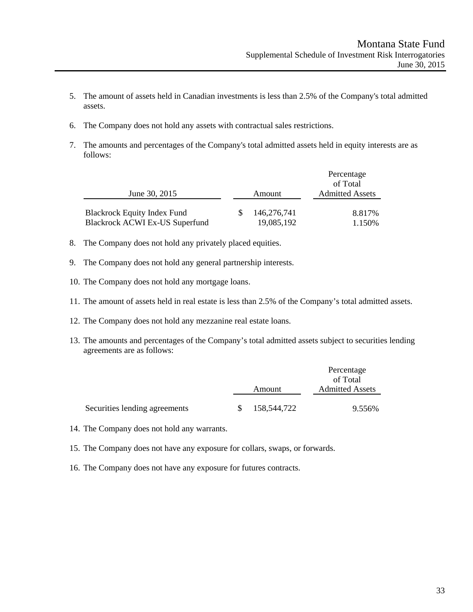- 5. The amount of assets held in Canadian investments is less than 2.5% of the Company's total admitted assets.
- 6. The Company does not hold any assets with contractual sales restrictions.
- 7. The amounts and percentages of the Company's total admitted assets held in equity interests are as follows:

|                                       |        |             | Percentage<br>of Total |  |
|---------------------------------------|--------|-------------|------------------------|--|
| June 30, 2015                         | Amount |             | <b>Admitted Assets</b> |  |
| <b>Blackrock Equity Index Fund</b>    |        | 146.276.741 | 8.817%                 |  |
| <b>Blackrock ACWI Ex-US Superfund</b> |        | 19,085,192  | 1.150%                 |  |

- 8. The Company does not hold any privately placed equities.
- 9. The Company does not hold any general partnership interests.
- 10. The Company does not hold any mortgage loans.
- 11. The amount of assets held in real estate is less than 2.5% of the Company's total admitted assets.
- 12. The Company does not hold any mezzanine real estate loans.
- 13. The amounts and percentages of the Company's total admitted assets subject to securities lending agreements are as follows:

|                               |     |                        | Percentage |
|-------------------------------|-----|------------------------|------------|
|                               |     |                        | of Total   |
| Amount                        |     | <b>Admitted Assets</b> |            |
|                               |     |                        |            |
| Securities lending agreements | -SS | 158,544,722            | 9.556%     |

- 14. The Company does not hold any warrants.
- 15. The Company does not have any exposure for collars, swaps, or forwards.
- 16. The Company does not have any exposure for futures contracts.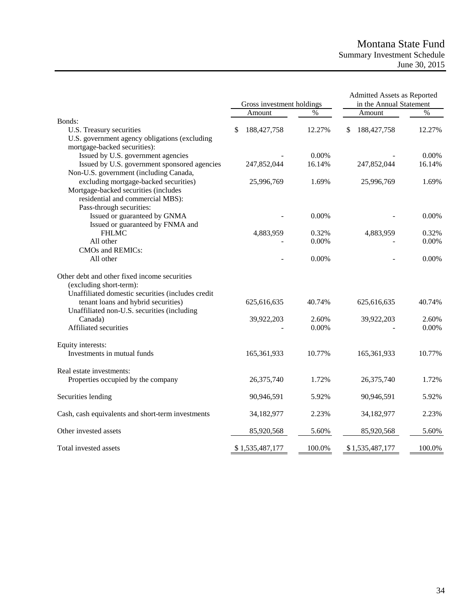## Montana State Fund Summary Investment Schedule June 30, 2015

|                                                                    | Gross investment holdings |                 | Admitted Assets as Reported<br>in the Annual Statement |    |                 |        |
|--------------------------------------------------------------------|---------------------------|-----------------|--------------------------------------------------------|----|-----------------|--------|
|                                                                    |                           | Amount          | $\frac{0}{0}$                                          |    | Amount          | $\%$   |
| Bonds:                                                             |                           |                 |                                                        |    |                 |        |
| U.S. Treasury securities                                           | S                         | 188,427,758     | 12.27%                                                 | \$ | 188,427,758     | 12.27% |
| U.S. government agency obligations (excluding                      |                           |                 |                                                        |    |                 |        |
| mortgage-backed securities):<br>Issued by U.S. government agencies |                           |                 | 0.00%                                                  |    |                 | 0.00%  |
| Issued by U.S. government sponsored agencies                       |                           | 247,852,044     | 16.14%                                                 |    | 247,852,044     | 16.14% |
| Non-U.S. government (including Canada,                             |                           |                 |                                                        |    |                 |        |
| excluding mortgage-backed securities)                              |                           | 25,996,769      | 1.69%                                                  |    | 25,996,769      | 1.69%  |
| Mortgage-backed securities (includes                               |                           |                 |                                                        |    |                 |        |
| residential and commercial MBS):                                   |                           |                 |                                                        |    |                 |        |
| Pass-through securities:                                           |                           |                 |                                                        |    |                 |        |
| Issued or guaranteed by GNMA                                       |                           |                 | 0.00%                                                  |    |                 | 0.00%  |
| Issued or guaranteed by FNMA and                                   |                           |                 |                                                        |    |                 |        |
| <b>FHLMC</b>                                                       |                           | 4,883,959       | 0.32%                                                  |    | 4,883,959       | 0.32%  |
| All other                                                          |                           |                 | 0.00%                                                  |    |                 | 0.00%  |
| CMOs and REMICs:                                                   |                           |                 |                                                        |    |                 |        |
| All other                                                          |                           |                 | 0.00%                                                  |    |                 | 0.00%  |
| Other debt and other fixed income securities                       |                           |                 |                                                        |    |                 |        |
| (excluding short-term):                                            |                           |                 |                                                        |    |                 |        |
| Unaffiliated domestic securities (includes credit                  |                           |                 |                                                        |    |                 |        |
| tenant loans and hybrid securities)                                |                           | 625,616,635     | 40.74%                                                 |    | 625,616,635     | 40.74% |
| Unaffiliated non-U.S. securities (including                        |                           |                 |                                                        |    |                 |        |
| Canada)                                                            |                           | 39,922,203      | 2.60%                                                  |    | 39,922,203      | 2.60%  |
| Affiliated securities                                              |                           |                 | 0.00%                                                  |    |                 | 0.00%  |
| Equity interests:                                                  |                           |                 |                                                        |    |                 |        |
| Investments in mutual funds                                        |                           | 165,361,933     | 10.77%                                                 |    | 165,361,933     | 10.77% |
| Real estate investments:                                           |                           |                 |                                                        |    |                 |        |
| Properties occupied by the company                                 |                           | 26,375,740      | 1.72%                                                  |    | 26,375,740      | 1.72%  |
| Securities lending                                                 |                           | 90,946,591      | 5.92%                                                  |    | 90,946,591      | 5.92%  |
| Cash, cash equivalents and short-term investments                  |                           | 34,182,977      | 2.23%                                                  |    | 34,182,977      | 2.23%  |
| Other invested assets                                              |                           | 85,920,568      | 5.60%                                                  |    | 85,920,568      | 5.60%  |
| Total invested assets                                              |                           | \$1,535,487,177 | 100.0%                                                 |    | \$1,535,487,177 | 100.0% |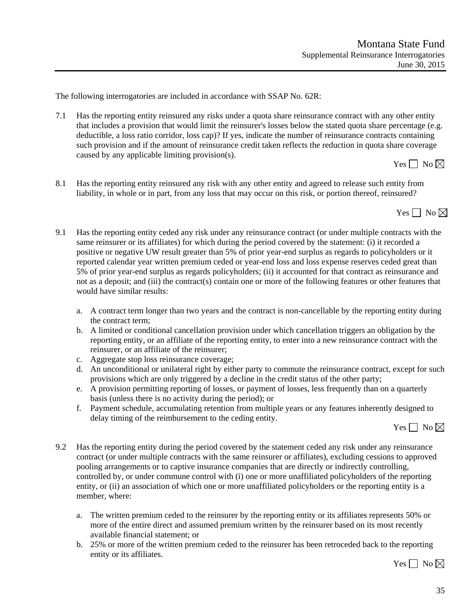The following interrogatories are included in accordance with SSAP No. 62R:

7.1 Has the reporting entity reinsured any risks under a quota share reinsurance contract with any other entity that includes a provision that would limit the reinsurer's losses below the stated quota share percentage (e.g. deductible, a loss ratio corridor, loss cap)? If yes, indicate the number of reinsurance contracts containing such provision and if the amount of reinsurance credit taken reflects the reduction in quota share coverage caused by any applicable limiting provision(s).

Yes  $\Box$  No  $\boxtimes$ 

8.1 Has the reporting entity reinsured any risk with any other entity and agreed to release such entity from liability, in whole or in part, from any loss that may occur on this risk, or portion thereof, reinsured?

Yes  $\Box$  No  $\boxtimes$ 

- 9.1 Has the reporting entity ceded any risk under any reinsurance contract (or under multiple contracts with the same reinsurer or its affiliates) for which during the period covered by the statement: (i) it recorded a positive or negative UW result greater than 5% of prior year-end surplus as regards to policyholders or it reported calendar year written premium ceded or year-end loss and loss expense reserves ceded great than 5% of prior year-end surplus as regards policyholders; (ii) it accounted for that contract as reinsurance and not as a deposit; and (iii) the contract(s) contain one or more of the following features or other features that would have similar results:
	- a. A contract term longer than two years and the contract is non-cancellable by the reporting entity during the contract term;
	- b. A limited or conditional cancellation provision under which cancellation triggers an obligation by the reporting entity, or an affiliate of the reporting entity, to enter into a new reinsurance contract with the reinsurer, or an affiliate of the reinsurer;
	- c. Aggregate stop loss reinsurance coverage;
	- d. An unconditional or unilateral right by either party to commute the reinsurance contract, except for such provisions which are only triggered by a decline in the credit status of the other party;
	- e. A provision permitting reporting of losses, or payment of losses, less frequently than on a quarterly basis (unless there is no activity during the period); or
	- f. Payment schedule, accumulating retention from multiple years or any features inherently designed to delay timing of the reimbursement to the ceding entity.

Yes  $\Box$  No  $\boxtimes$ 

- 9.2 Has the reporting entity during the period covered by the statement ceded any risk under any reinsurance contract (or under multiple contracts with the same reinsurer or affiliates), excluding cessions to approved pooling arrangements or to captive insurance companies that are directly or indirectly controlling, controlled by, or under commune control with (i) one or more unaffiliated policyholders of the reporting entity, or (ii) an association of which one or more unaffiliated policyholders or the reporting entity is a member, where:
	- a. The written premium ceded to the reinsurer by the reporting entity or its affiliates represents 50% or more of the entire direct and assumed premium written by the reinsurer based on its most recently available financial statement; or
	- b. 25% or more of the written premium ceded to the reinsurer has been retroceded back to the reporting entity or its affiliates.

Yes  $\Box$  No  $\boxtimes$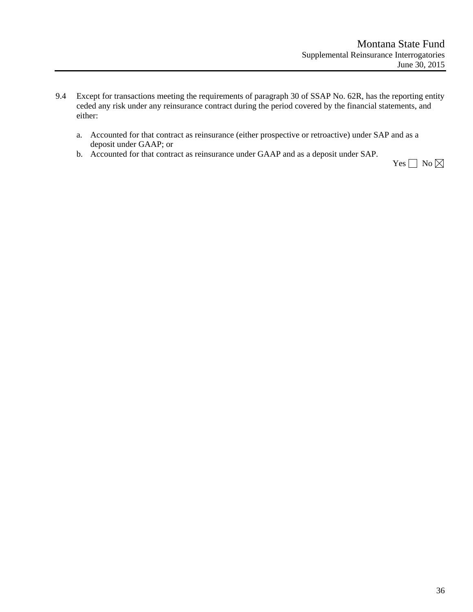- 9.4 Except for transactions meeting the requirements of paragraph 30 of SSAP No. 62R, has the reporting entity ceded any risk under any reinsurance contract during the period covered by the financial statements, and either:
	- a. Accounted for that contract as reinsurance (either prospective or retroactive) under SAP and as a deposit under GAAP; or
	- b. Accounted for that contract as reinsurance under GAAP and as a deposit under SAP.

Yes  $\Box$  No  $\boxtimes$